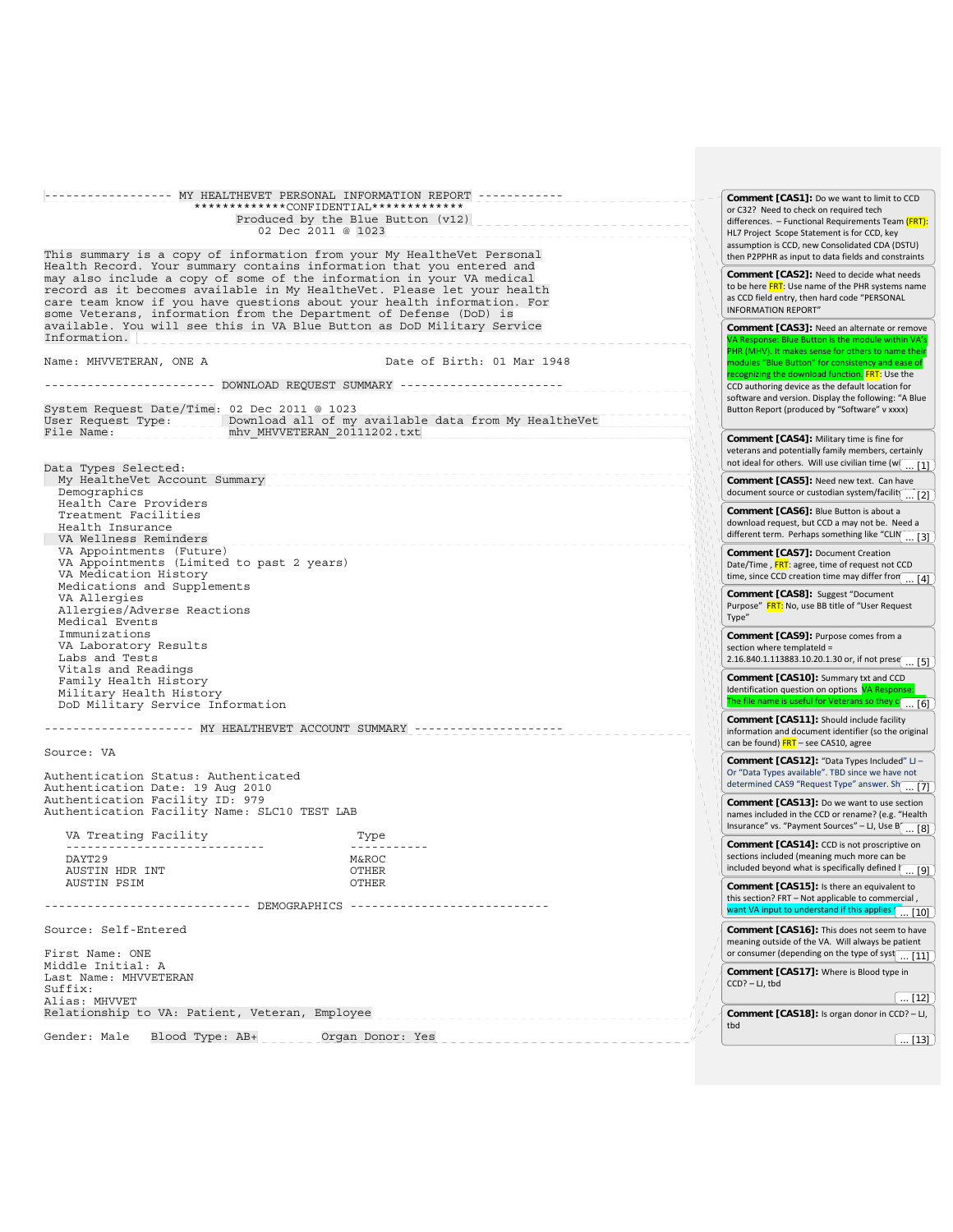------------------ MY HEALTHEVET PERSONAL INFORMATION REPORT ------------ \*\*\*\*\*\*\*\*\*\*\*\*\*CONFIDENTIAL\*\*\*\*\*\*\*\*\*\*\*\*\* Produced by the Blue Button (v12) 02 Dec 2011 @ 1023 This summary is a copy of information from your My HealtheVet Personal Health Record. Your summary contains information that you entered and may also include a copy of some of the information in your VA medical record as it becomes available in My HealtheVet. Please let your health care team know if you have questions about your health information. For some Veterans, information from the Department of Defense (DoD) is available. You will see this in VA Blue Button as DoD Military Service Information.  $\vert$ <sub>--</sub> Name: MHVVETERAN, ONE A Date of Birth: 01 Mar 1948 ------------------------ DOWNLOAD REQUEST SUMMARY ----------------------- System Request Date/Time: 02 Dec 2011 @ 1023 User Request Type: \_\_\_\_\_ Download all of my available data from My HealtheVet<br>File Name: why MHVVETERAN 20111202.txt Data Types Selected: My HealtheVet Account Summary Demographics Health Care Providers Treatment Facilities Health Insurance<br>VA Wellness Reminders VA Wellness Reminders<br>VA Appointments (Future) VA Appointments (Limited to past 2 years) VA Medication History Medications and Supplements VA Allergies Allergies/Adverse Reactions Medical Events Immunizations VA Laboratory Results Labs and Tests Vitals and Readings Family Health History Military Health History DoD Military Service Information --------------------- MY HEALTHEVET ACCOUNT SUMMARY --------------------- Source: VA Authentication Status: Authenticated Authentication Date: 19 Aug 2010 Authentication Facility ID: 979 Authentication Facility Name: SLC10 TEST LAB VA Treating Facility Type ---------------------------- ----------- DAYT29 M&ROC AUSTIN HDR INT CHER AUSTIN PSIM AUSTIN PSIM ----------------------------- DEMOGRAPHICS ---------------------------- Source: Self-Entered First Name: ONE Middle Initial: A Last Name: MHVVETERAN Suffix: Alias: MHVVET Relationship to VA: Patient, Veteran, Employee Gender: Male Blood Type:  $AB+$  \_\_\_\_\_ Organ Donor: Yes \_\_\_\_\_\_\_\_\_\_ **Comment [CAS1]:** Do we want to limit to CCD or C32? Need to check on required tech differences. - Functional Requirements Team (FRT) HL7 Project Scope Statement is for CCD, key assumption is CCD, new Consolidated CDA (DSTU) then P2PPHR as input to data fields and constraints **Comment [CAS2]:** Need to decide what needs to be here FRT: Use name of the PHR systems name as CCD field entry, then hard code "PERSONAL INFORMATION REPORT" **Comment [CAS3]:** Need an alternate or remove Button is the PHR (MHV). It makes sense for others to name the modules "Blue Button" for consistency and ease of recognizing the download function. FRT: Use the CCD authoring device as the default location for software and version. Display the following: "A Blue Button Report (produced by "Software" v xxxx) **Comment [CAS4]:** Military time is fine for veterans and potentially family members, certainly not ideal for others. Will use civilian time (w $\boxed{... [1]}$ **Comment [CAS5]:** Need new text. Can have document source or custodian system/facility **Comment [CAS6]:** Blue Button is about a download request, but CCD a may not be. Need a different term. Perhaps something like "CLIN<sub>CAL</sub> [3] **Comment [CAS7]:** Document Creation Date/Time, FRT: agree, time of request not CCD time, since CCD creation time may differ from  $\boxed{... [4]}$ **Comment [CAS8]:** Suggest "Document Purpose" FRT: No, use BB title of "User Request Type" **Comment [CAS9]:** Purpose comes from a section where templateId = 2.16.840.1.113883.10.20.1.30 or, if not prese $\boxed{... [5]}$ **Comment [CAS10]:** Summary txt and CCD Identification question on options VA Respo The file name is useful for Veterans so they  $c \overline{\ldots [6]}$ **Comment [CAS11]:** Should include facility information and document identifier (so the original can be found) FRT – see CAS10, agree **Comment [CAS12]:** "Data Types Included" LJ – Or "Data Types available". TBD since we have not determined CAS9 "Request Type" answer. Show all ...  $\frac{1}{2}$ **Comment [CAS13]:** Do we want to use section names included in the CCD or rename? (e.g. "Health Insurance" vs. "Payment Sources" – LJ, Use  $B\left(\frac{1}{\ldots \cdot 8}\right)$ **Comment [CAS14]:** CCD is not proscriptive on sections included (meaning much more can be included beyond what is specifically defined  $\sqrt{1 - [9]}$ **Comment [CAS15]:** Is there an equivalent to this section? FRT – Not applicable to commercial , want VA input to understand if this applies **the U.** [10] **Comment [CAS16]:** This does not seem to have meaning outside of the VA. Will always be patient or consumer (depending on the type of syst $\left( \frac{11}{11} \right)$ **Comment [CAS17]:** Where is Blood type in  $CCD$ ? – LJ, thd.  $\sqrt{121}$ **Comment [CAS18]:** Is organ donor in CCD? – LJ, tbd  $\sqrt{131}$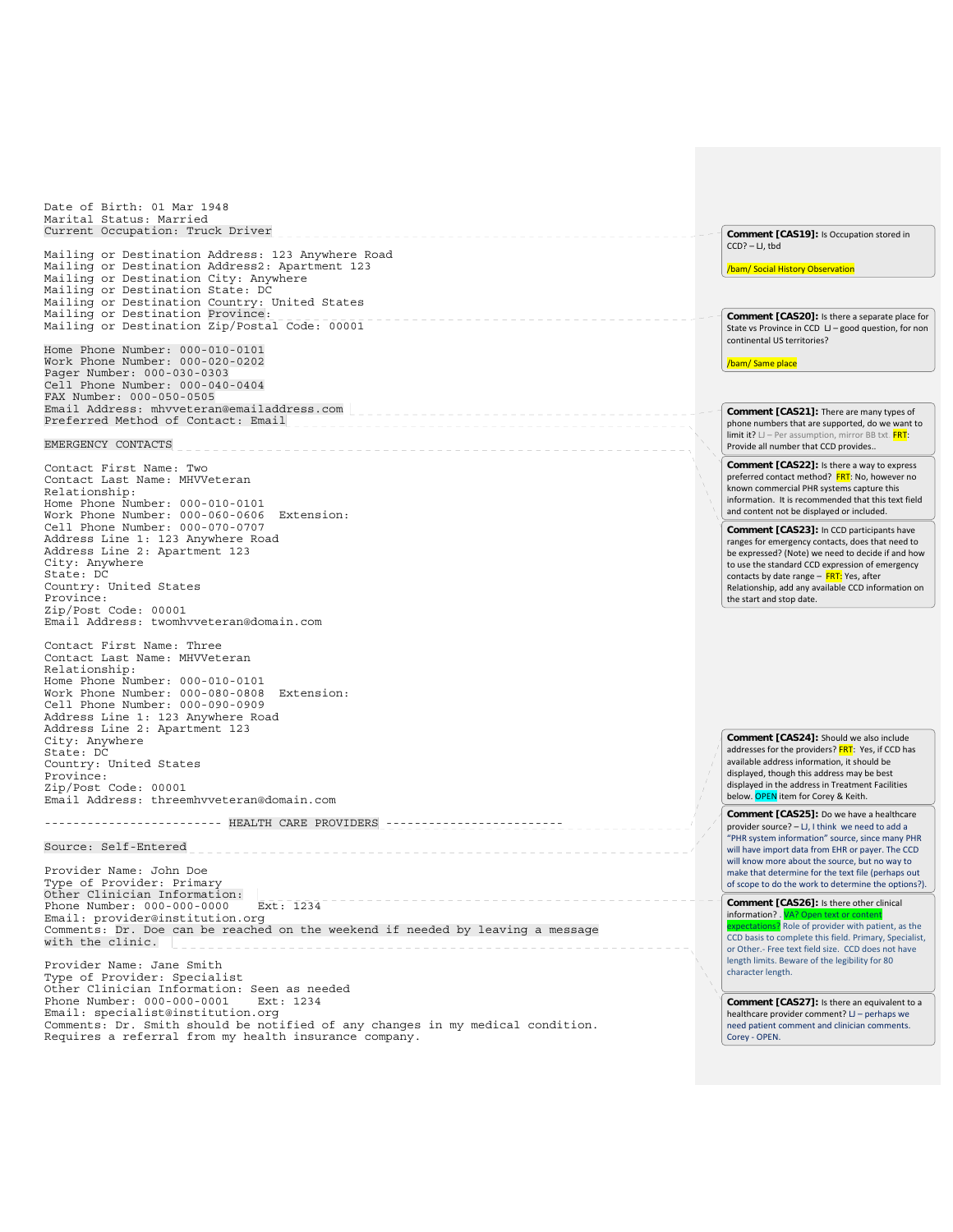Date of Birth: 01 Mar 1948 Marital Status: Married Particul Scatch: Andrew Miller<br>Current Occupation: Truck Driver **Comment [CAS19]:** Is Occupation stored in  $CCD$ ? – LJ, thd Mailing or Destination Address: 123 Anywhere Road Mailing or Destination Address2: Apartment 123 /bam/ Social History Observation Mailing or Destination City: Anywhere Mailing or Destination State: DC Mailing or Destination Country: United States Mailing or Destination Province: Mailing or Destination Zip/Postal Code: 00001 **Comment [CAS20]:** Is there a separate place for State vs Province in CCD LJ – good question, for non continental US territories? Home Phone Number: 000-010-0101 Work Phone Number: 000-020-0202 /bam/ Same place Pager Number: 000-030-0303 Cell Phone Number: 000-040-0404 FAX Number: 000-050-0505 Email Address: mhvveteran@emailaddress.com **Comment [CAS21]:** There are many types of Preferred Method of Contact: Email phone numbers that are supported, do we want to limit it?  $LJ$  – Per assumption, mirror BB txt.  $FRT$ : EMERGENCY CONTACTS Provide all number that CCD provides.. **Comment [CAS22]:** Is there a way to express Contact First Name: Two preferred contact method? FRT: No, however no Contact Last Name: MHVVeteran known commercial PHR systems capture this Relationship: information. It is recommended that this text field Home Phone Number: 000-010-0101 and content not be displayed or included. Work Phone Number: 000-060-0606 Extension: Cell Phone Number: 000-070-0707 **Comment [CAS23]:** In CCD participants have Address Line 1: 123 Anywhere Road ranges for emergency contacts, does that need to Address Line 2: Apartment 123 be expressed? (Note) we need to decide if and how City: Anywhere to use the standard CCD expression of emergency State: DC contacts by date range - FRT: Yes, after Country: United States Relationship, add any available CCD information on Province: the start and stop date. Zip/Post Code: 00001 Email Address: twomhvveteran@domain.com Contact First Name: Three Contact Last Name: MHVVeteran Relationship: Home Phone Number: 000-010-0101 Work Phone Number: 000-080-0808 Extension: Cell Phone Number: 000-090-0909 Address Line 1: 123 Anywhere Road Address Line 2: Apartment 123 **Comment [CAS24]:** Should we also include City: Anywhere addresses for the providers? FRT: Yes, if CCD has State: DC available address information, it should be Country: United States displayed, though this address may be best Province: displayed in the address in Treatment Facilities Zip/Post Code: 00001 below. OPEN item for Corey & Keith. Email Address: threemhvveteran@domain.com **Comment [CAS25]:** Do we have a healthcare ------------------------- HEALTH CARE PROVIDERS -------------------------------provider source? – LJ, I think we need to add a "PHR system information" source, since many PHR Source: Self-Entered will have import data from EHR or payer. The CCD \_\_\_\_\_\_\_\_\_\_\_\_\_\_\_\_\_\_\_\_\_\_\_\_\_\_\_\_\_\_\_\_ will know more about the source, but no way to Provider Name: John Doe make that determine for the text file (perhaps out Type of Provider: Primary of scope to do the work to determine the options?). Other Clinician Information:  $\sqrt{\frac{1}{2}}$ Phone Number: 000-000-0000 Ext: 1234 **Comment [CAS26]:** Is there other clinical Phone Number: 000-000-0000 information? . Email: provider@institution.org s? Role of provider with patient, as the Comments: Dr. Doe can be reached on the weekend if needed by leaving a message CCD basis to complete this field. Primary, Specialist, with the clinic. or Other.‐ Free text field size. CCD does not have length limits. Beware of the legibility for 80 Provider Name: Jane Smith character length. Type of Provider: Specialist Other Clinician Information: Seen as needed<br>Phone Number: 000-000-0001 Ext: 1234 Phone Number: 000-000-0001 **Comment [CAS27]:** Is there an equivalent to a Email: specialist@institution.org healthcare provider comment? LJ – perhaps we Comments: Dr. Smith should be notified of any changes in my medical condition. need patient comment and clinician comments. Requires a referral from my health insurance company. Corey ‐ OPEN.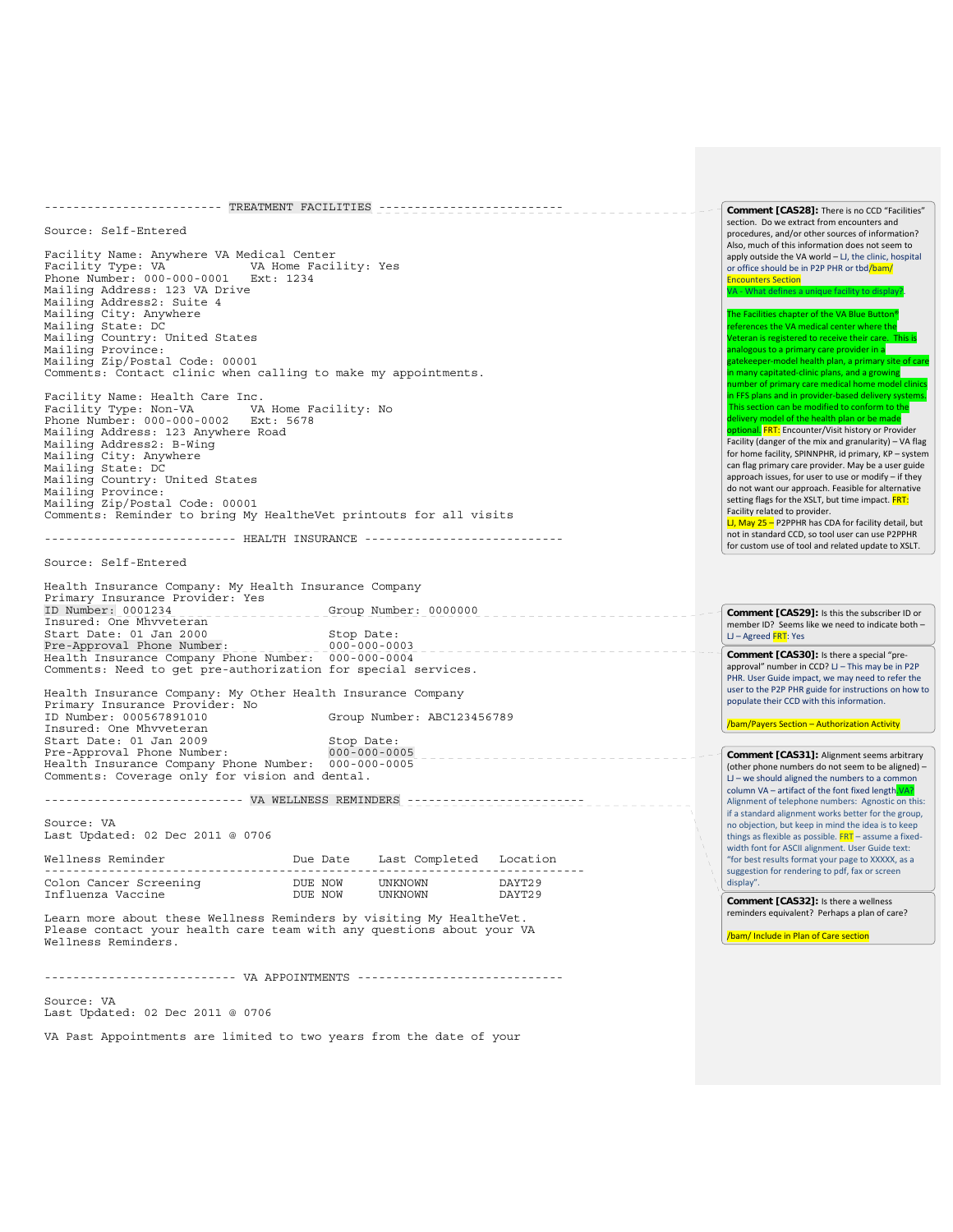| ---------------------- TREATMENT FACILITIES ----------------------------                                                                                                                                                                                                                                 |                    |                         |                                                                                                                                                                                                                                                                                                                                                                                                                                                                                                     | Comment [CAS28]: There is no CCD "Facilities"                                                                                                                                                  |
|----------------------------------------------------------------------------------------------------------------------------------------------------------------------------------------------------------------------------------------------------------------------------------------------------------|--------------------|-------------------------|-----------------------------------------------------------------------------------------------------------------------------------------------------------------------------------------------------------------------------------------------------------------------------------------------------------------------------------------------------------------------------------------------------------------------------------------------------------------------------------------------------|------------------------------------------------------------------------------------------------------------------------------------------------------------------------------------------------|
| Source: Self-Entered                                                                                                                                                                                                                                                                                     |                    |                         |                                                                                                                                                                                                                                                                                                                                                                                                                                                                                                     | section. Do we extract from encounters and<br>procedures, and/or other sources of information?                                                                                                 |
| Facility Name: Anywhere VA Medical Center<br>VA Home Facility: Yes<br>Facility Type: VA<br>Phone Number: 000-000-0001 Ext: 1234<br>Mailing Address: 123 VA Drive<br>Mailing Address2: Suite 4                                                                                                            |                    |                         | Also, much of this information does not seem to<br>apply outside the VA world - LJ, the clinic, hospital<br>or office should be in P2P PHR or tbd/bam/<br><b>Encounters Section</b><br>VA - What defines a unique facility to display?.                                                                                                                                                                                                                                                             |                                                                                                                                                                                                |
| Mailing City: Anywhere<br>Mailing State: DC<br>Mailing Country: United States<br>Mailing Province:<br>Mailing Zip/Postal Code: 00001<br>Comments: Contact clinic when calling to make my appointments.                                                                                                   |                    |                         | The Facilities chapter of the VA Blue Button®<br>references the VA medical center where the<br>Veteran is registered to receive their care. This is<br>analogous to a primary care provider in a<br>gatekeeper-model health plan, a primary site of care<br>in many capitated-clinic plans, and a growing<br>number of primary care medical home model clinics                                                                                                                                      |                                                                                                                                                                                                |
| Facility Name: Health Care Inc.<br>Facility Type: Non-VA           VA Home Facility: No<br>Phone Number: 000-000-0002 Ext: 5678<br>Mailing Address: 123 Anywhere Road<br>Mailing Address2: B-Wing<br>Mailing City: Anywhere<br>Mailing State: DC<br>Mailing Country: United States                       |                    |                         | in FFS plans and in provider-based delivery systems.<br>This section can be modified to conform to the<br>delivery model of the health plan or be made<br>optional. FRT: Encounter/Visit history or Provider<br>Facility (danger of the mix and granularity) - VA flag<br>for home facility, SPINNPHR, id primary, KP - system<br>can flag primary care provider. May be a user guide<br>approach issues, for user to use or modify - if they<br>do not want our approach. Feasible for alternative |                                                                                                                                                                                                |
| Mailing Province:<br>Mailing Zip/Postal Code: 00001<br>Comments: Reminder to bring My HealtheVet printouts for all visits<br>------------------------        HEALTH INSURANCE        -------------------------                                                                                           |                    |                         |                                                                                                                                                                                                                                                                                                                                                                                                                                                                                                     | setting flags for the XSLT, but time impact. FRT:<br>Facility related to provider.<br>LJ, May 25 - P2PPHR has CDA for facility detail, but<br>not in standard CCD, so tool user can use P2PPHR |
|                                                                                                                                                                                                                                                                                                          |                    |                         |                                                                                                                                                                                                                                                                                                                                                                                                                                                                                                     | for custom use of tool and related update to XSLT.                                                                                                                                             |
| Source: Self-Entered                                                                                                                                                                                                                                                                                     |                    |                         |                                                                                                                                                                                                                                                                                                                                                                                                                                                                                                     |                                                                                                                                                                                                |
| Health Insurance Company: My Health Insurance Company<br>Primary Insurance Provider: Yes<br>ID Number: $0001234$ _________                                                                                                                                                                               |                    | Group Number: 0000000   | <u> - - - - - - - - - - - - - - - - -</u>                                                                                                                                                                                                                                                                                                                                                                                                                                                           | Comment [CAS29]: Is this the subscriber ID or                                                                                                                                                  |
| Insured: One Mhvveteran<br>Start Date: 01 Jan 2000                                                                                                                                                                                                                                                       | Stop Date:         |                         |                                                                                                                                                                                                                                                                                                                                                                                                                                                                                                     | member ID? Seems like we need to indicate both -<br>$LI - Agreed$ FRT: Yes                                                                                                                     |
| $Pre-Approxal$ Phone Number:<br>$\begin{tabular}{ll} \texttt{Pre-Approxal Phone Number:} & \texttt{I = 000-000-0003} \\ \texttt{Health Insurance Company Phone Number:} & \texttt{000-000-0004} \end{tabular}$<br>---------------------<br>Comments: Need to get pre-authorization for special services. |                    |                         | Comment [CAS30]: Is there a special "pre-<br>approval" number in CCD? LJ - This may be in P2P<br>PHR. User Guide impact, we may need to refer the<br>user to the P2P PHR guide for instructions on how to                                                                                                                                                                                                                                                                                           |                                                                                                                                                                                                |
| Health Insurance Company: My Other Health Insurance Company<br>Primary Insurance Provider: No<br>Group Number: ABC123456789<br>ID Number: 000567891010                                                                                                                                                   |                    |                         | populate their CCD with this information.                                                                                                                                                                                                                                                                                                                                                                                                                                                           |                                                                                                                                                                                                |
| Insured: One Mhvveteran<br>Start Date: 01 Jan 2009                                                                                                                                                                                                                                                       | Stop Date:         |                         |                                                                                                                                                                                                                                                                                                                                                                                                                                                                                                     | /bam/Payers Section - Authorization Activity                                                                                                                                                   |
| $000 - 000 - 0005$<br>Pre-Approval Phone Number:<br>----------------------<br>Health Insurance Company Phone Number: 000-000-0005<br>Comments: Coverage only for vision and dental.                                                                                                                      |                    |                         | Comment [CAS31]: Alignment seems arbitrary<br>(other phone numbers do not seem to be aligned) -<br>$LJ$ – we should aligned the numbers to a common                                                                                                                                                                                                                                                                                                                                                 |                                                                                                                                                                                                |
|                                                                                                                                                                                                                                                                                                          |                    |                         | column VA - artifact of the font fixed length. VA?<br>Alignment of telephone numbers: Agnostic on this:<br>if a standard alignment works better for the group,                                                                                                                                                                                                                                                                                                                                      |                                                                                                                                                                                                |
| Source: VA<br>Last Updated: 02 Dec 2011 @ 0706                                                                                                                                                                                                                                                           |                    |                         | no objection, but keep in mind the idea is to keep<br>things as flexible as possible. FRT - assume a fixed-<br>width font for ASCII alignment. User Guide text:                                                                                                                                                                                                                                                                                                                                     |                                                                                                                                                                                                |
| Wellness Reminder<br>---------------                                                                                                                                                                                                                                                                     | Due Date           | Last Completed Location |                                                                                                                                                                                                                                                                                                                                                                                                                                                                                                     | "for best results format your page to XXXXX, as a<br>suggestion for rendering to pdf, fax or screen                                                                                            |
| Colon Cancer Screening<br>Influenza Vaccine                                                                                                                                                                                                                                                              | DUE NOW<br>DUE NOW | UNKNOWN<br>UNKNOWN      | DAYT29<br>DAYT29                                                                                                                                                                                                                                                                                                                                                                                                                                                                                    | display".<br>Comment [CAS32]: Is there a wellness                                                                                                                                              |
| Learn more about these Wellness Reminders by visiting My HealtheVet.<br>Please contact your health care team with any questions about your VA<br>Wellness Reminders.                                                                                                                                     |                    |                         |                                                                                                                                                                                                                                                                                                                                                                                                                                                                                                     | reminders equivalent? Perhaps a plan of care?<br>/bam/ Include in Plan of Care section                                                                                                         |
|                                                                                                                                                                                                                                                                                                          |                    |                         |                                                                                                                                                                                                                                                                                                                                                                                                                                                                                                     |                                                                                                                                                                                                |
| Source: VA<br>Last Updated: 02 Dec 2011 @ 0706                                                                                                                                                                                                                                                           |                    |                         |                                                                                                                                                                                                                                                                                                                                                                                                                                                                                                     |                                                                                                                                                                                                |

VA Past Appointments are limited to two years from the date of your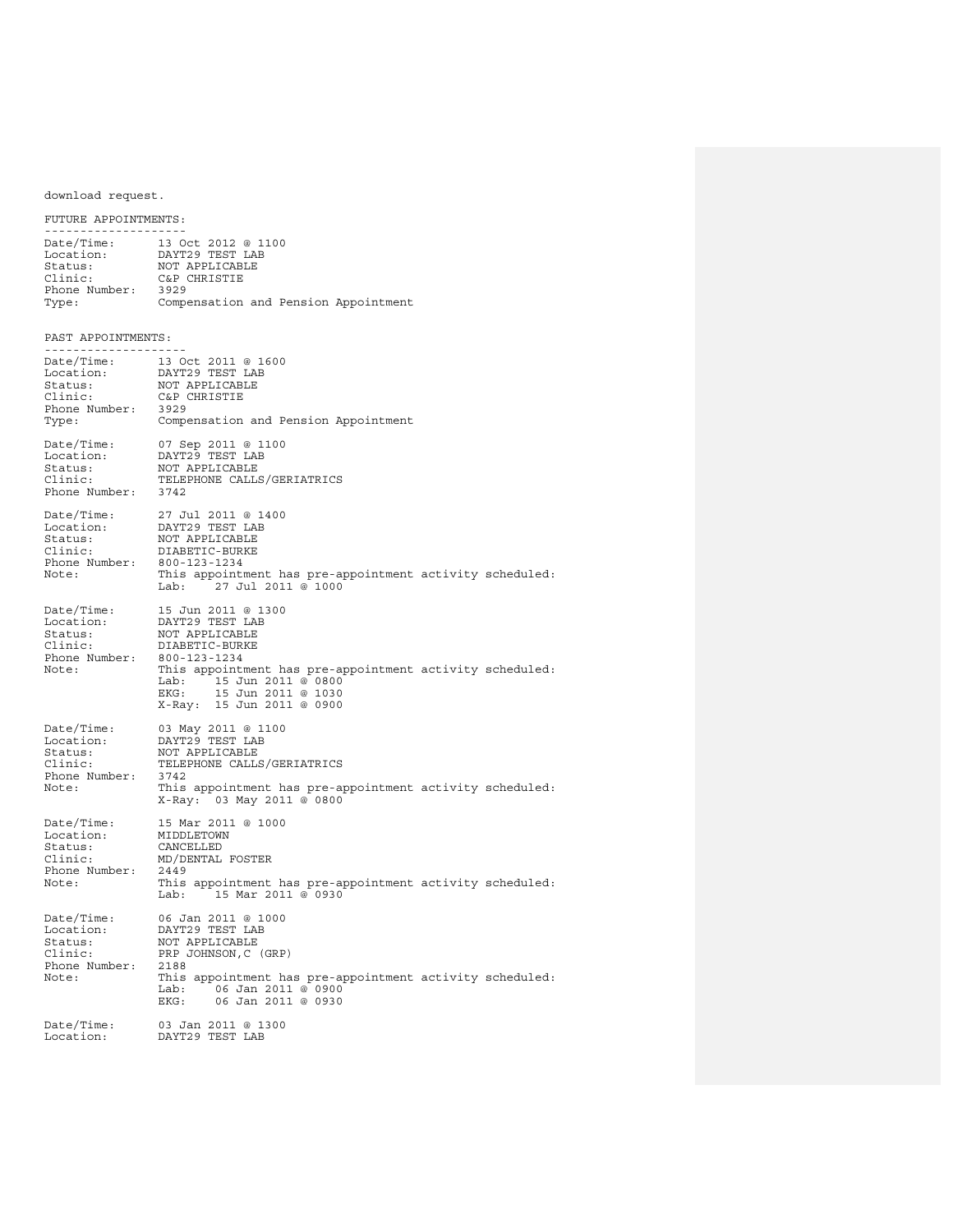download request.

FUTURE APPOINTMENTS: -------------------- Date/Time: 13 Oct 2012 @ 1100 Location: DAYT29 TEST LAB Status: NOT APPLICABLE<br>Clinic: C&P CHRISTIE C&P CHRISTIE<br>3929 Phone Number: Type: Compensation and Pension Appointment PAST APPOINTMENTS: ------------------<br>Date/Time: 13 Date/Time: 13 Oct 2011 @ 1600<br>Location: DAYT29 TEST LAB Location: DAYT29 TEST LAB<br>Status: NOT APPLICABLE Status: NOT APPLICABLE<br>Clinic: C&P CHRISTIE C&P CHRISTIE<br>3929 Phone Number: Type: Compensation and Pension Appointment Date/Time: 07 Sep 2011 @ 1100 Location: DAYT29 TEST LAB Status: NOT APPLICABLE<br>Clinic: TELEPHONE CALLS TELEPHONE CALLS/GERIATRICS<br>3742 Phone Number: Date/Time: 27 Jul 2011 @ 1400 Location: DAYT29 TEST LAB Status: MOT APPLICABLE<br>Clinic: DIABETIC-BURKE DIABETIC-BURKE<br>800-123-1234 Phone Number:<br>Note: This appointment has pre-appointment activity scheduled:<br>Lab: 27 Jul 2011 @ 1000 27 Jul 2011 @ 1000 Date/Time: 15 Jun 2011 @ 1300 Location: DAYT29 TEST LAB Status: NOT APPLICABLE<br>Clinic: DIABETIC-BURKE DIABETIC-BURKE<br>800-123-1234 Phone Number:<br>Note: This appointment has pre-appointment activity scheduled:<br>Lab: 15 Jun 2011 @ 0800 Lab: 15 Jun 2011 @ 0800 EKG: 15 Jun 2011 @ 1030 X-Ray: 15 Jun 2011 @ 0900 Date/Time: 03 May 2011 @ 1100 Location: DAYT29 TEST LAB Status: MOT APPLICABLE<br>Clinic: TELEPHONE CALLS TELEPHONE CALLS/GERIATRICS<br>3742 Phone Number:<br>Note: This appointment has pre-appointment activity scheduled: X-Ray: 03 May 2011 @ 0800 Date/Time: 15 Mar 2011 @ 1000<br>Location: MIDDLETOWN Location: MIDDLETOWN<br>Status: CANCELLED Status: CANCELLED<br>Clinic: MD/DENTAL MD/DENTAL FOSTER<br>2449 Phone Number:<br>Note: This appointment has pre-appointment activity scheduled:<br>Lab: 15 Mar 2011 @ 0930 Lab: 15 Mar 2011 @ 0930 Date/Time: 06 Jan 2011 @ 1000 Location: DAYT29 TEST LAB Status: MOT APPLICABLE<br>Clinic: PRP JOHNSON, C PRP JOHNSON, C (GRP)<br>2188 Phone Number:<br>Note: This appointment has pre-appointment activity scheduled:<br>Lab: 06 Jan 2011 @ 0900 Lab: 06 Jan 2011 @ 0900<br>EKG: 06 Jan 2011 @ 0930 EKG: 06 Jan 2011 @ 0930 Date/Time: 03 Jan 2011 @ 1300 Location: DAYT29 TEST LAB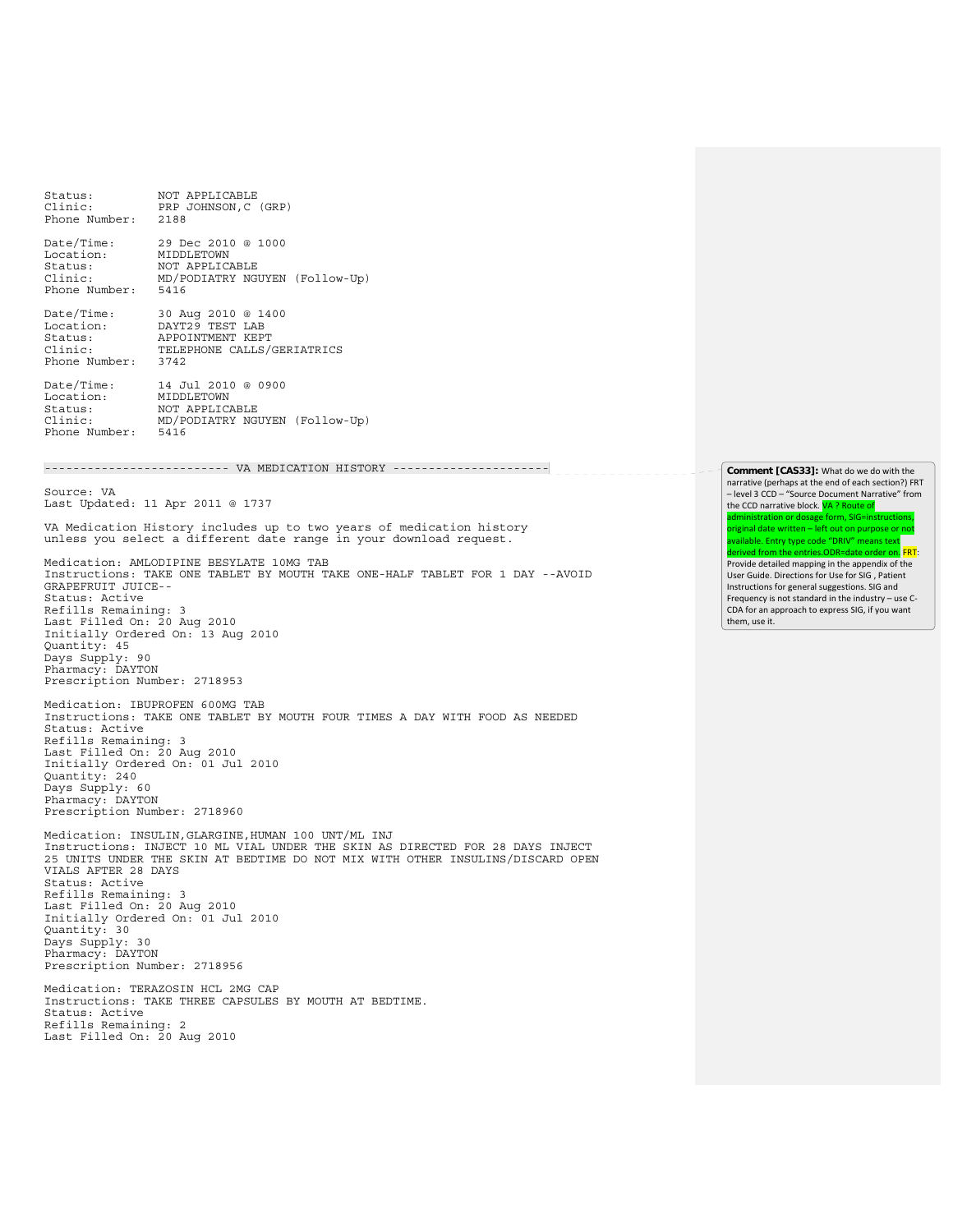Status: NOT APPLICABLE Clinic: PRP JOHNSON,C (GRP) Phone Number: 2188 Date/Time: 29 Dec 2010 @ 1000<br>Location: MIDDLETOWN Location: MIDDLETOWN<br>Status: MOT APPLICA Status: Industrian<br>Status: NOT APPLICABLE<br>Clinic: MD/PODIATRY NGU Clinic: MD/PODIATRY NGUYEN (Follow-Up) Phone Number: 5416 Date/Time: 30 Aug 2010 @ 1400 Location: DAYT29 TEST LAB Status: APPOINTMENT KEPT<br>Clinic: TELEPHONE CALLS/ TELEPHONE CALLS/GERIATRICS<br>3742 Phone Number: Date/Time: 14 Jul 2010 @ 0900<br>Location: MIDDLETOWN Location: MIDDLETOWN<br>Status: NOT APPLICA NOT APPLICABLE Clinic: MD/PODIATRY NGUYEN (Follow-Up) Phone Number: -------------------------- VA MEDICATION HISTORY ---------------------- \_\_\_\_\_\_\_\_\_\_\_\_\_ Source: VA Last Updated: 11 Apr 2011 @ 1737 VA Medication History includes up to two years of medication history unless you select a different date range in your download request. Medication: AMLODIPINE BESYLATE 10MG TAB Instructions: TAKE ONE TABLET BY MOUTH TAKE ONE-HALF TABLET FOR 1 DAY --AVOID GRAPEFRUIT JUICE-- Status: Active Refills Remaining: 3 Last Filled On: 20 Aug 2010 Initially Ordered On: 13 Aug 2010 Quantity: 45 Days Supply: 90 Pharmacy: DAYTON Prescription Number: 2718953 Medication: IBUPROFEN 600MG TAB Instructions: TAKE ONE TABLET BY MOUTH FOUR TIMES A DAY WITH FOOD AS NEEDED Status: Active Refills Remaining: 3 Last Filled On: 20 Aug 2010 Initially Ordered On: 01 Jul 2010 Quantity: 240 Days Supply: 60 Pharmacy: DAYTON Prescription Number: 2718960 Medication: INSULIN,GLARGINE,HUMAN 100 UNT/ML INJ Instructions: INJECT 10 ML VIAL UNDER THE SKIN AS DIRECTED FOR 28 DAYS INJECT 25 UNITS UNDER THE SKIN AT BEDTIME DO NOT MIX WITH OTHER INSULINS/DISCARD OPEN VIALS AFTER 28 DAYS Status: Active Refills Remaining: 3 Last Filled On: 20 Aug 2010 Initially Ordered On: 01 Jul 2010 Quantity: 30 Days Supply: 30 Pharmacy: DAYTON Prescription Number: 2718956 Medication: TERAZOSIN HCL 2MG CAP Instructions: TAKE THREE CAPSULES BY MOUTH AT BEDTIME. Status: Active Refills Remaining: 2 Last Filled On: 20 Aug 2010

**Comment [CAS33]:** What do we do with the narrative (perhaps at the end of each section?) FRT – level 3 CCD – "Source Document Narrative" from the CCD narrative block. **VA ? Route of** administration or dosage form, SIG=instructions, original date written – left out on purpose or not available. Entry type code "DRIV" means text derived from the entries.ODR=date order on. FRT: Provide detailed mapping in the appendix of the User Guide. Directions for Use for SIG , Patient Instructions for general suggestions. SIG and Frequency is not standard in the industry – use C‐ CDA for an approach to express SIG, if you want them, use it.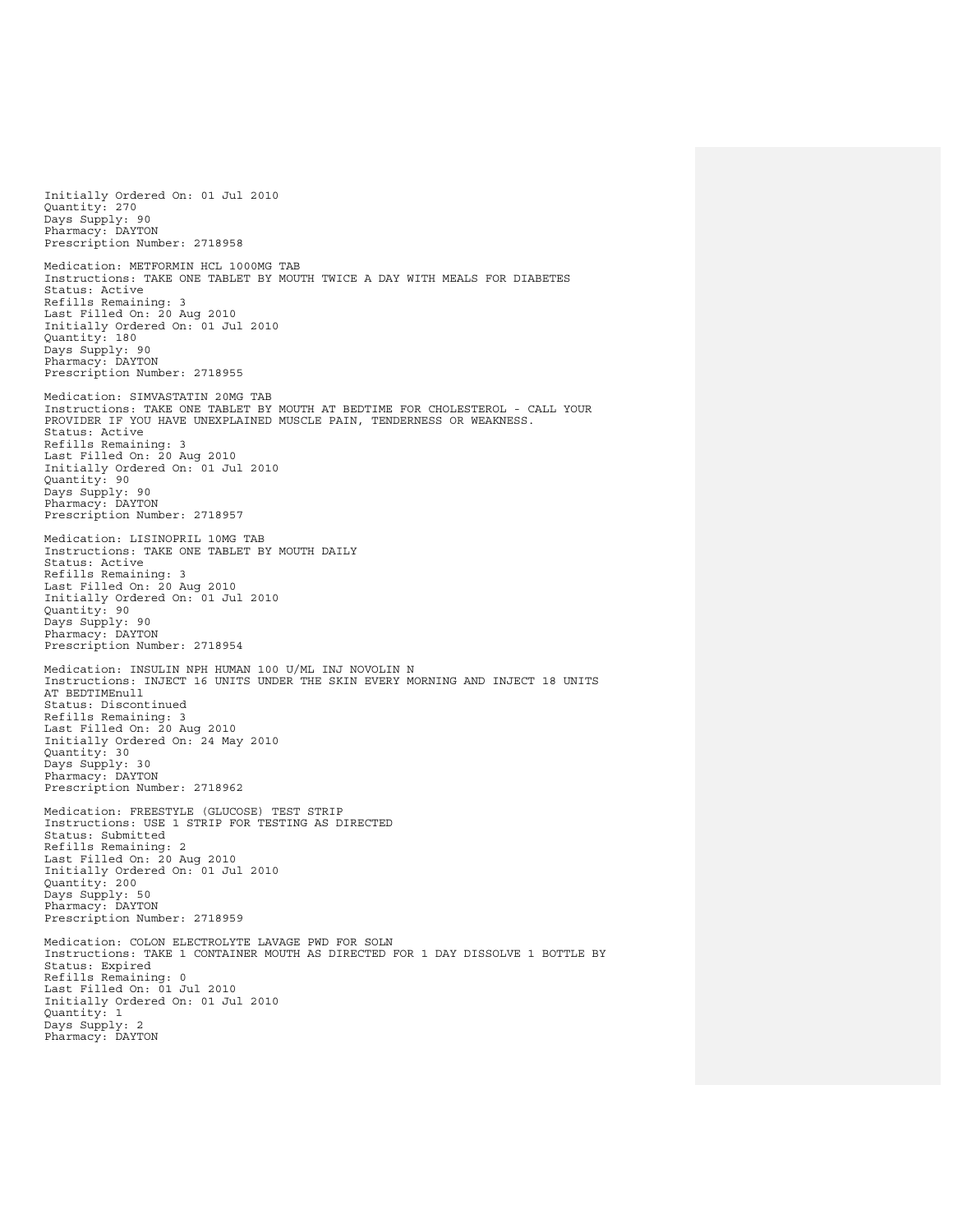Initially Ordered On: 01 Jul 2010 Quantity: 270 Days Supply: 90 Pharmacy: DAYTON Prescription Number: 2718958 Medication: METFORMIN HCL 1000MG TAB Instructions: TAKE ONE TABLET BY MOUTH TWICE A DAY WITH MEALS FOR DIABETES Status: Active Refills Remaining: 3 Last Filled On: 20 Aug 2010 Initially Ordered On: 01 Jul 2010 Quantity: 180 Days Supply: 90 Pharmacy: DAYTON Prescription Number: 2718955 Medication: SIMVASTATIN 20MG TAB Instructions: TAKE ONE TABLET BY MOUTH AT BEDTIME FOR CHOLESTEROL - CALL YOUR PROVIDER IF YOU HAVE UNEXPLAINED MUSCLE PAIN, TENDERNESS OR WEAKNESS. Status: Active Refills Remaining: 3 Last Filled On: 20 Aug 2010 Initially Ordered On: 01 Jul 2010 Quantity: 90 Days Supply: 90 Pharmacy: DAYTON Prescription Number: 2718957 Medication: LISINOPRIL 10MG TAB Instructions: TAKE ONE TABLET BY MOUTH DAILY Status: Active Refills Remaining: 3 Last Filled On: 20 Aug 2010 Initially Ordered On: 01 Jul 2010 Quantity: 90 Days Supply: 90 Pharmacy: DAYTON Prescription Number: 2718954 Medication: INSULIN NPH HUMAN 100 U/ML INJ NOVOLIN N Instructions: INJECT 16 UNITS UNDER THE SKIN EVERY MORNING AND INJECT 18 UNITS AT BEDTIMEnull Status: Discontinued Refills Remaining: 3 Last Filled On: 20 Aug 2010 Initially Ordered On: 24 May 2010 Quantity: 30 Days Supply: 30 Pharmacy: DAYTON Prescription Number: 2718962 Medication: FREESTYLE (GLUCOSE) TEST STRIP Instructions: USE 1 STRIP FOR TESTING AS DIRECTED Status: Submitted Refills Remaining: 2 Last Filled On: 20 Aug 2010 Initially Ordered On: 01 Jul 2010 Quantity: 200 Days Supply: 50 Pharmacy: DAYTON Prescription Number: 2718959 Medication: COLON ELECTROLYTE LAVAGE PWD FOR SOLN Instructions: TAKE 1 CONTAINER MOUTH AS DIRECTED FOR 1 DAY DISSOLVE 1 BOTTLE BY Status: Expired Refills Remaining: 0 Last Filled On: 01 Jul 2010 Initially Ordered On: 01 Jul 2010 Quantity: 1 Days Supply: 2 Pharmacy: DAYTON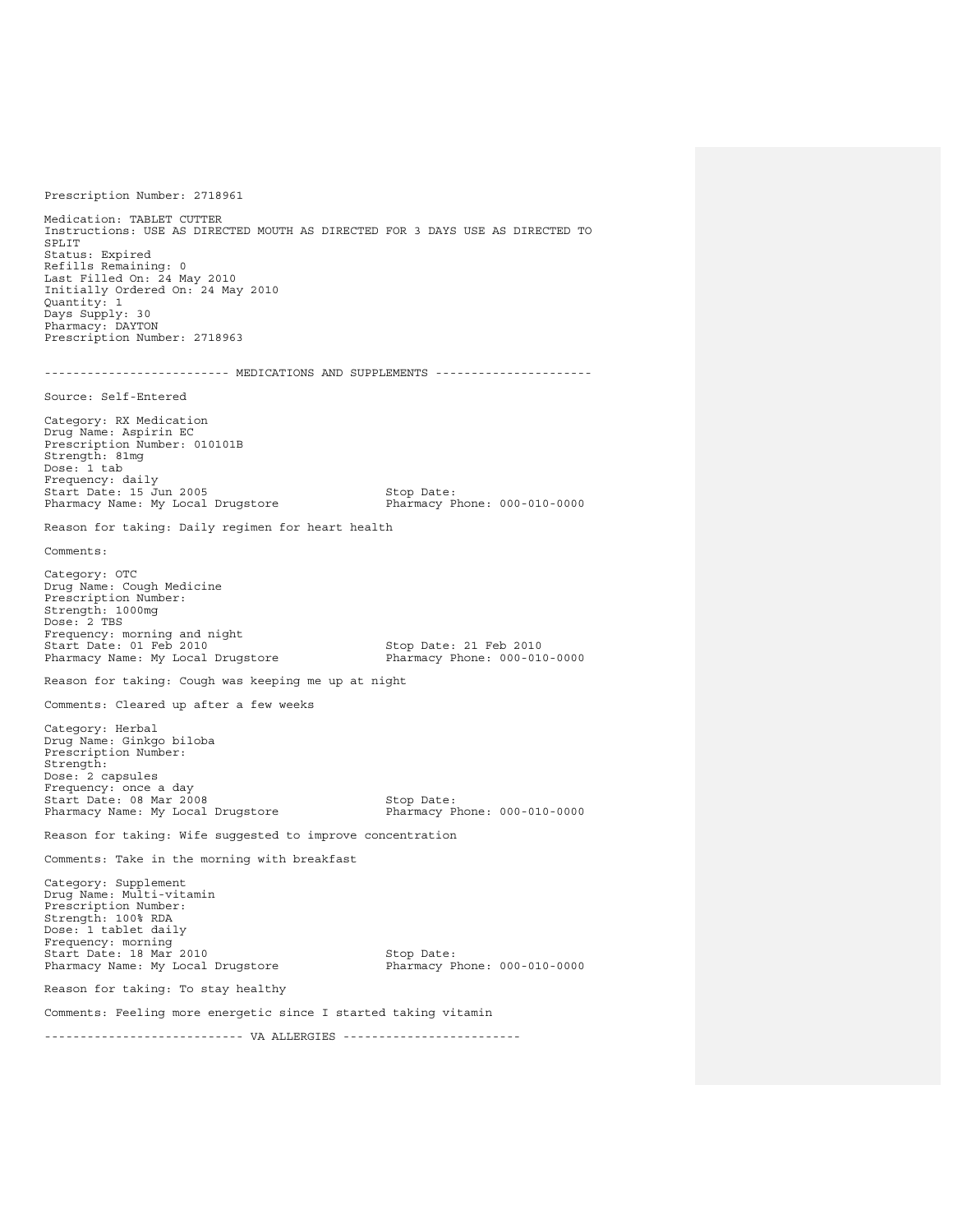Prescription Number: 2718961 Medication: TABLET CUTTER Instructions: USE AS DIRECTED MOUTH AS DIRECTED FOR 3 DAYS USE AS DIRECTED TO SPLIT Status: Expired Refills Remaining: 0 Last Filled On: 24 May 2010 Initially Ordered On: 24 May 2010 Quantity: 1 Days Supply: 30 Pharmacy: DAYTON Prescription Number: 2718963 -------------------------- MEDICATIONS AND SUPPLEMENTS ---------------------- Source: Self-Entered Category: RX Medication Drug Name: Aspirin EC Prescription Number: 010101B Strength: 81mg Dose: 1 tab Frequency: daily Start Date: 15 Jun 2005<br>
Pharmacy Name: My Local Drugstore<br>
Pharmacy Phone: 000-010-0000 Pharmacy Name: My Local Drugstore Reason for taking: Daily regimen for heart health Comments: Category: OTC Drug Name: Cough Medicine Prescription Number: Strength: 1000mg  $Dose: 2 TRS$ Frequency: morning and night<br>Start Date: 01 Feb 2010 Stop Date: 21 Feb 2010<br>Pharmacy Phone: 000-010-0000 Pharmacy Name: My Local Drugstore Reason for taking: Cough was keeping me up at night Comments: Cleared up after a few weeks Category: Herbal Drug Name: Ginkgo biloba Prescription Number: Strength: Dose: 2 capsules Frequency: once a day Start Date: 08 Mar 2008 Stop Date: Pharmacy Name: My Local Drugstore Reason for taking: Wife suggested to improve concentration Comments: Take in the morning with breakfast Category: Supplement Drug Name: Multi-vitamin Prescription Number: Strength: 100% RDA Dose: 1 tablet daily Frequency: morning Start Date: 18 Mar 2010 Stop Date: Pharmacy Name: My Local Drugstore Reason for taking: To stay healthy Comments: Feeling more energetic since I started taking vitamin ---------------------------- VA ALLERGIES -------------------------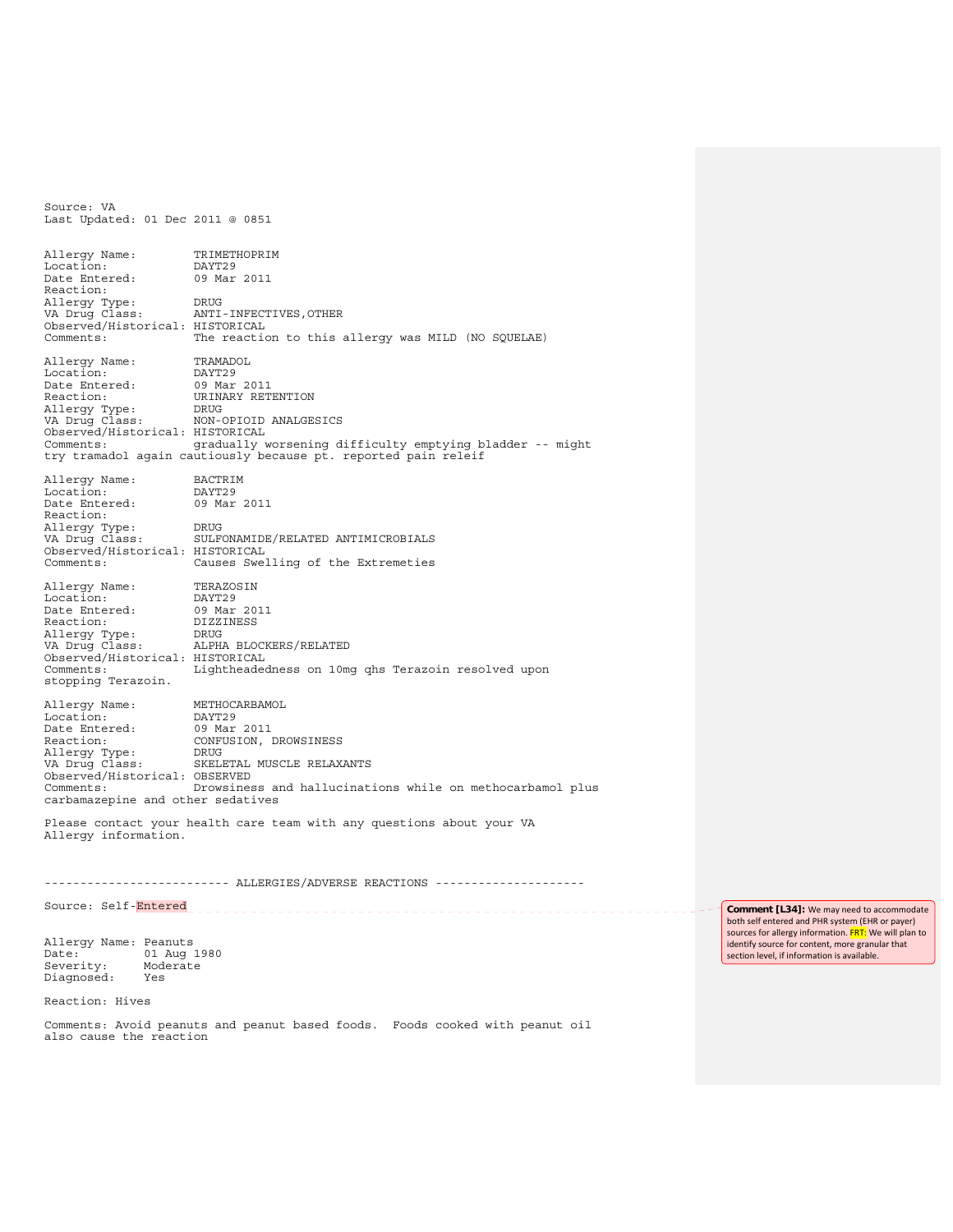Last Updated: 01 Dec 2011 @ 0851 Allergy Name: TRIMETHOPRIM<br>Location: DAYT29 Location: DAYT29<br>Date Entered: 09 Mar 2011 Date Entered: Reaction: Allergy Type: DRUG<br>VA Drug Class: ANTI ANTI-INFECTIVES, OTHER Observed/Historical: HISTORICAL<br>Comments: The reaction The reaction to this allergy was MILD (NO SQUELAE) Allergy Name: TRAMADOL<br>Location: DAYT29 Location: DAYT29<br>Date Entered: 09 Mar 2011 Date Entered:<br>Reaction: URINARY RETENTION<br>DRUG Allergy Type:<br>VA Drug Class: NON-OPIOID ANALGESICS Observed/Historical: HISTORICAL Comments: gradually worsening difficulty emptying bladder -- might try tramadol again cautiously because pt. reported pain releif Allergy Name: BACTRIM<br>Location: DAYT29 Location: DAYT29<br>Date Entered: 09 Mar 2011 Date Entered: Reaction: Allergy Type: DRUG<br>VA Drug Class: SULF SULFONAMIDE/RELATED ANTIMICROBIALS Observed/Historical: HISTORICAL<br>Comments: Causes Swe Causes Swelling of the Extremeties Allergy Name: TERAZOSIN<br>Location: DAYT29 Location:<br>Date Entered: Date Entered: 09 Mar 2011 Reaction: DIZZINESS Allergy Type: DRUG<br>
VA Drug Class: ALPH ALPHA BLOCKERS/RELATED Observed/Historical: HISTORICAL Lightheadedness on 10mg qhs Terazoin resolved upon stopping Terazoin. Allergy Name: METHOCARBAMOL<br>Location: DAYT29 Location: Date Entered: 09 Mar 2011<br>Reaction: CONFUSION, CONFUSION, DROWSINESS<br>DRUG Allergy Type:<br>VA Drug Class: SKELETAL MUSCLE RELAXANTS Observed/Historical: OBSERVED Drowsiness and hallucinations while on methocarbamol plus carbamazepine and other sedatives

Please contact your health care team with any questions about your VA Allergy information.

--------------------------- ALLERGIES/ADVERSE REACTIONS -----------------------

Source: Self-Entered

Allergy Name: Peanuts Date: 01 Aug 1980<br>Severity: Moderate Severity: Mod<br>Diagnosed: Yes Diagnosed:

Reaction: Hives

Source: VA

Comments: Avoid peanuts and peanut based foods. Foods cooked with peanut oil also cause the reaction

**Comment [L34]:** We may need to accommodate both self entered and PHR system (EHR or payer) sources for allergy information. FRT: We will plan to identify source for content, more granular that section level, if information is available.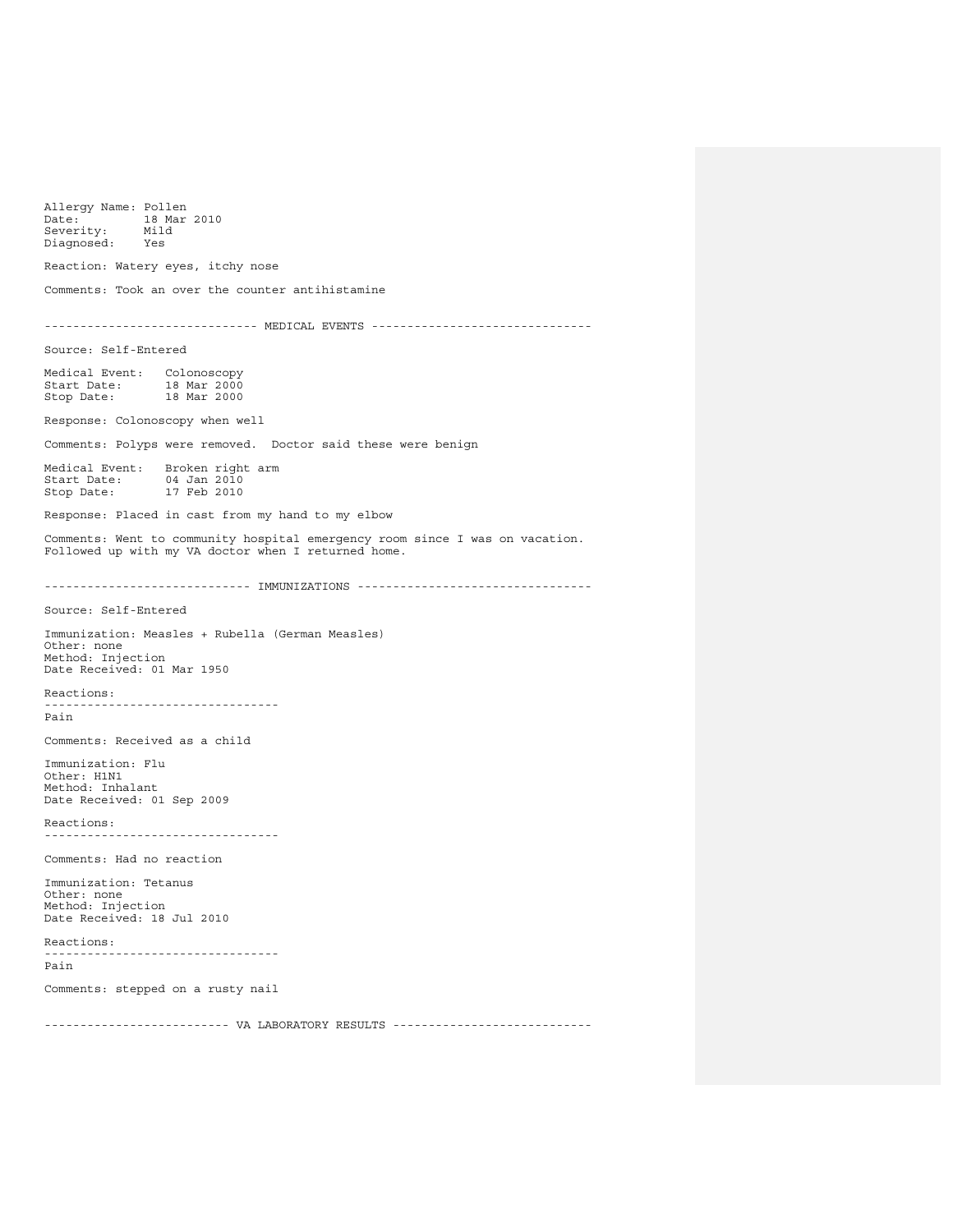Allergy Name: Pollen<br>Date: 18 Mar 18 Mar 2010<br>Mild Bate: IS<br>Severity: Mile<br>Diagnosed: Yes  $Diagnosed:$ Reaction: Watery eyes, itchy nose Comments: Took an over the counter antihistamine ------------------------------ MEDICAL EVENTS ------------------------------- Source: Self-Entered Medical Event: Colonoscopy Start Date: 18 Mar 2000 Stop Date: 18 Mar 2000 Response: Colonoscopy when well Comments: Polyps were removed. Doctor said these were benign Medical Event: Broken right arm<br>Start Date: 04 Jan 2010 Start Date:<br>Stop Date: 17 Feb 2010 Response: Placed in cast from my hand to my elbow Comments: Went to community hospital emergency room since I was on vacation. Followed up with my VA doctor when I returned home. ----------------------------- IMMUNIZATIONS --------------------------------- Source: Self-Entered Immunization: Measles + Rubella (German Measles) Other: none Method: Injection Date Received: 01 Mar 1950 Reactions: - . .<br>----------------------------Pain Comments: Received as a child Immunization: Flu Other: H1N1 Method: Inhalant Date Received: 01 Sep 2009 Reactions: --------------------------------- Comments: Had no reaction Immunization: Tetanus Other: none Method: Injection Date Received: 18 Jul 2010 Reactions: --------------------------------- Pain Comments: stepped on a rusty nail -------------------------- VA LABORATORY RESULTS ----------------------------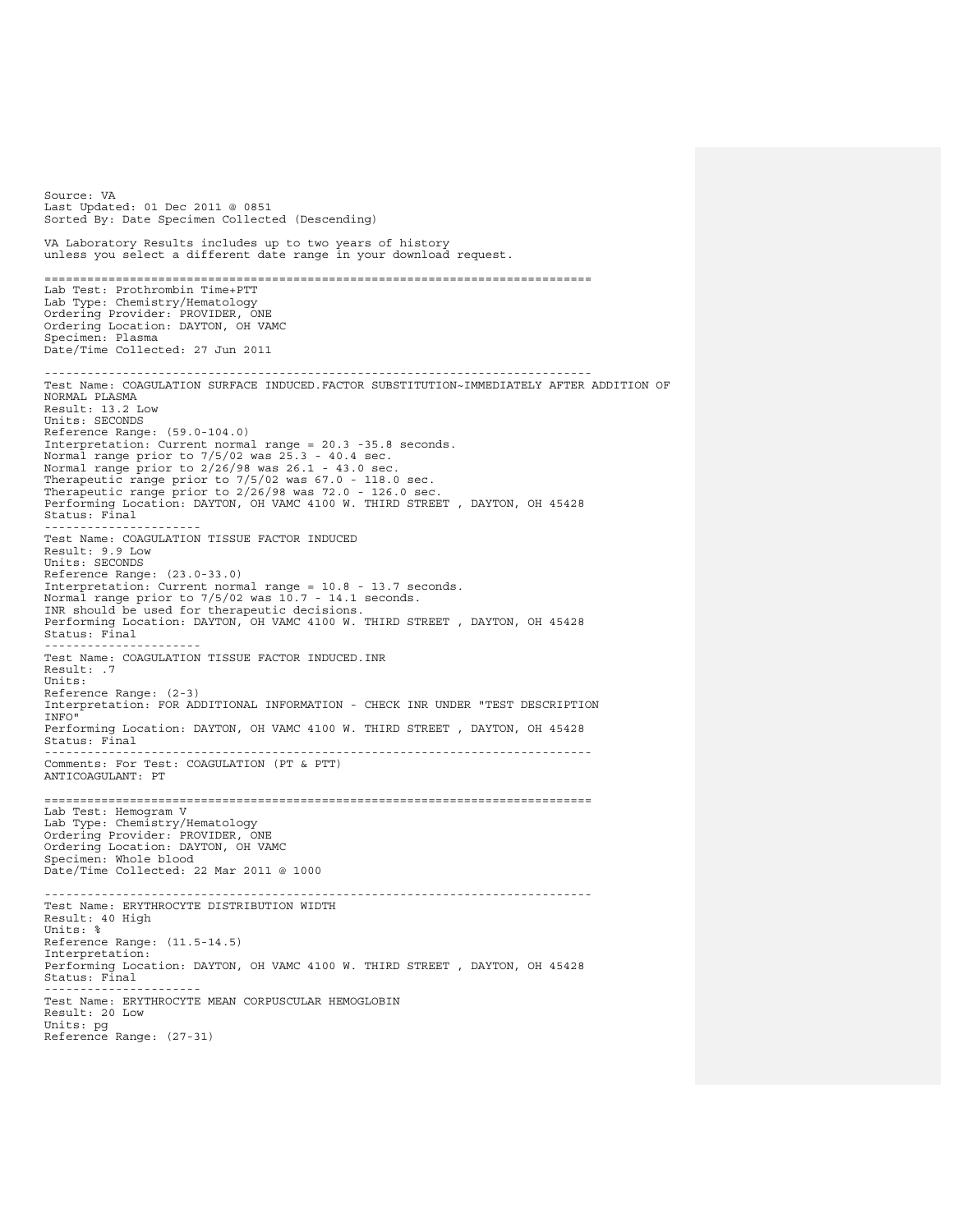Source: VA Last Updated: 01 Dec 2011 @ 0851 Sorted By: Date Specimen Collected (Descending) VA Laboratory Results includes up to two years of history unless you select a different date range in your download request. ============================================================================= Lab Test: Prothrombin Time+PTT Lab Type: Chemistry/Hematology Ordering Provider: PROVIDER, ONE Ordering Location: DAYTON, OH VAMC Specimen: Plasma Date/Time Collected: 27 Jun 2011 ----------------------------------------------------------------------------- Test Name: COAGULATION SURFACE INDUCED.FACTOR SUBSTITUTION~IMMEDIATELY AFTER ADDITION OF NORMAL PLASMA Result: 13.2 Low Units: SECONDS Reference Range: (59.0-104.0)<br>Interpretation: Current normal range = 20.3 -35.8 seconds.<br>Normal range prior to 2/26/98 was 26.1 - 43.0 sec.<br>Normal range prior to 2/26/98 was 26.1 - 43.0 sec. Therapeutic range prior to 7/5/02 was 67.0 - 118.0 sec. Therapeutic range prior to 2/26/98 was 72.0 - 126.0 sec. Performing Location: DAYTON, OH VAMC 4100 W. THIRD STREET , DAYTON, OH 45428 Status: Final ---------------------- Test Name: COAGULATION TISSUE FACTOR INDUCED Result: 9.9 Low Units: SECONDS Reference Range: (23.0-33.0) Interpretation: Current normal range = 10.8 - 13.7 seconds. Normal range prior to 7/5/02 was 10.7 - 14.1 seconds. INR should be used for therapeutic decisions. Performing Location: DAYTON, OH VAMC 4100 W. THIRD STREET , DAYTON, OH 45428 Status: Final ---------------------- Test Name: COAGULATION TISSUE FACTOR INDUCED.INR Result: .7 Units: Reference Range: (2-3) Interpretation: FOR ADDITIONAL INFORMATION - CHECK INR UNDER "TEST DESCRIPTION INFO" Performing Location: DAYTON, OH VAMC 4100 W. THIRD STREET , DAYTON, OH 45428 Status: Final ----------------------------------------------------------------------------- Comments: For Test: COAGULATION (PT & PTT) ANTICOAGULANT: PT ============================================================================= Lab Test: Hemogram V Lab Type: Chemistry/Hematology Ordering Provider: PROVIDER, ONE Ordering Location: DAYTON, OH VAMC Specimen: Whole blood Date/Time Collected: 22 Mar 2011 @ 1000 ----------------------------------------------------------------------------- Test Name: ERYTHROCYTE DISTRIBUTION WIDTH Result: 40 High Units: % Reference Range: (11.5-14.5) Interpretation: Performing Location: DAYTON, OH VAMC 4100 W. THIRD STREET , DAYTON, OH 45428 Status: Final ---------------------- Test Name: ERYTHROCYTE MEAN CORPUSCULAR HEMOGLOBIN Result: 20 Low Units: pg Reference Range: (27-31)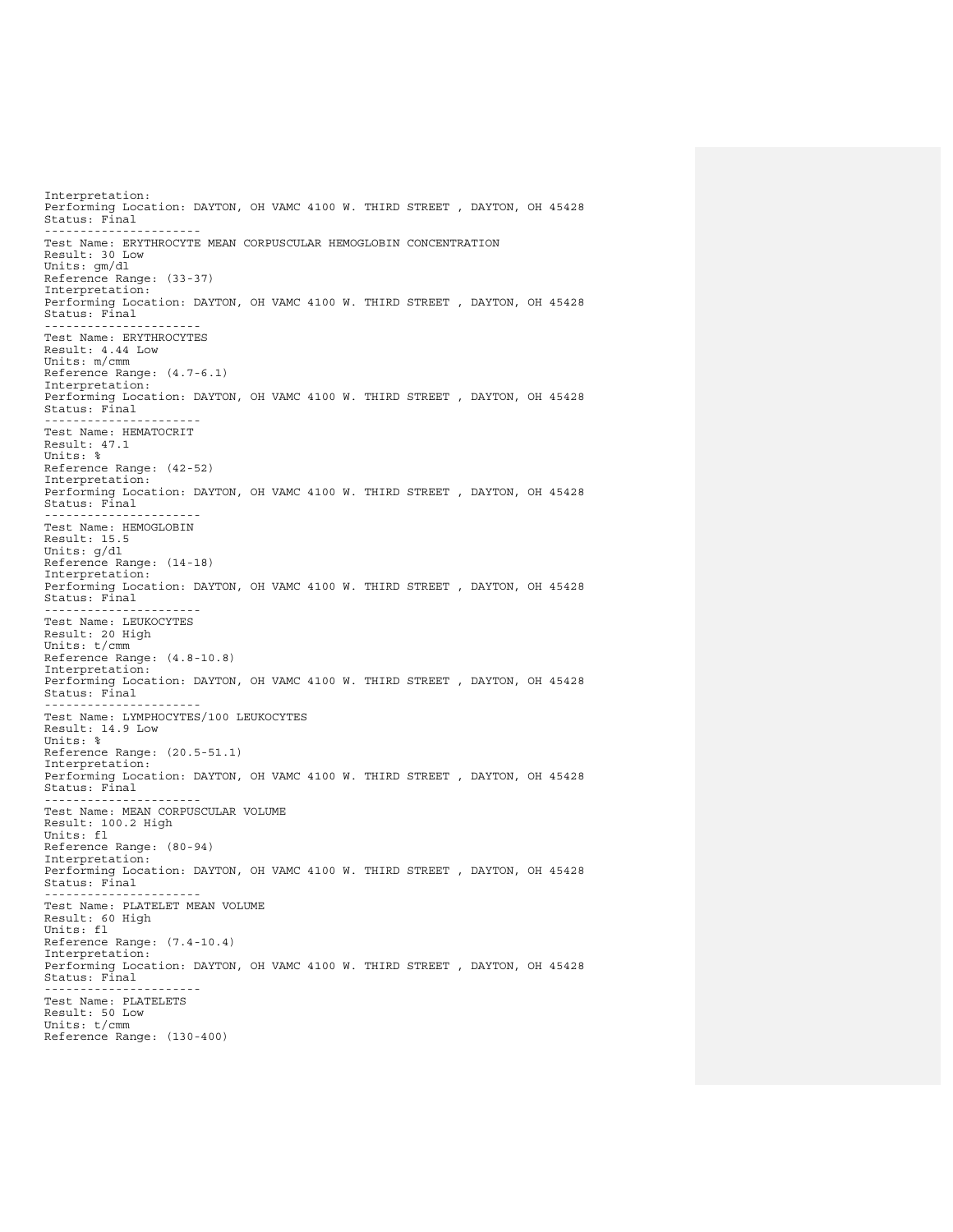Interpretation: Performing Location: DAYTON, OH VAMC 4100 W. THIRD STREET , DAYTON, OH 45428 Status: Final ---------------------- Test Name: ERYTHROCYTE MEAN CORPUSCULAR HEMOGLOBIN CONCENTRATION Result: 30 Low Units: gm/dl Reference Range: (33-37) Interpretation: Performing Location: DAYTON, OH VAMC 4100 W. THIRD STREET , DAYTON, OH 45428 Status: Final ---------------------- Test Name: ERYTHROCYTES Result: 4.44 Low Units: m/cmm Reference Range: (4.7-6.1) Interpretation: Performing Location: DAYTON, OH VAMC 4100 W. THIRD STREET , DAYTON, OH 45428 Status: Final ---------------------- Test Name: HEMATOCRIT Result: 47.1 Units: % Reference Range: (42-52) Interpretation: Performing Location: DAYTON, OH VAMC 4100 W. THIRD STREET , DAYTON, OH 45428 Status: Final ---------------------- Test Name: HEMOGLOBIN Result: 15.5 Units: g/dl Reference Range: (14-18) Interpretation: Performing Location: DAYTON, OH VAMC 4100 W. THIRD STREET , DAYTON, OH 45428 Status: Final ---------------------- Test Name: LEUKOCYTES Result: 20 High Units: t/cmm Reference Range: (4.8-10.8) Interpretation: Performing Location: DAYTON, OH VAMC 4100 W. THIRD STREET , DAYTON, OH 45428 Status: Final ---------------------- Test Name: LYMPHOCYTES/100 LEUKOCYTES Result: 14.9 Low Units: % Reference Range: (20.5-51.1) Interpretation: Performing Location: DAYTON, OH VAMC 4100 W. THIRD STREET , DAYTON, OH 45428 Status: Final ---------------------- Test Name: MEAN CORPUSCULAR VOLUME Result: 100.2 High Units: fl Reference Range: (80-94) Interpretation: Performing Location: DAYTON, OH VAMC 4100 W. THIRD STREET , DAYTON, OH 45428 Status: Final ---------------------- Test Name: PLATELET MEAN VOLUME Result: 60 High Units: fl Reference Range: (7.4-10.4) Interpretation: Performing Location: DAYTON, OH VAMC 4100 W. THIRD STREET , DAYTON, OH 45428 Status: Final ---------------------- Test Name: PLATELETS Result: 50 Low Units: t/cmm Reference Range: (130-400)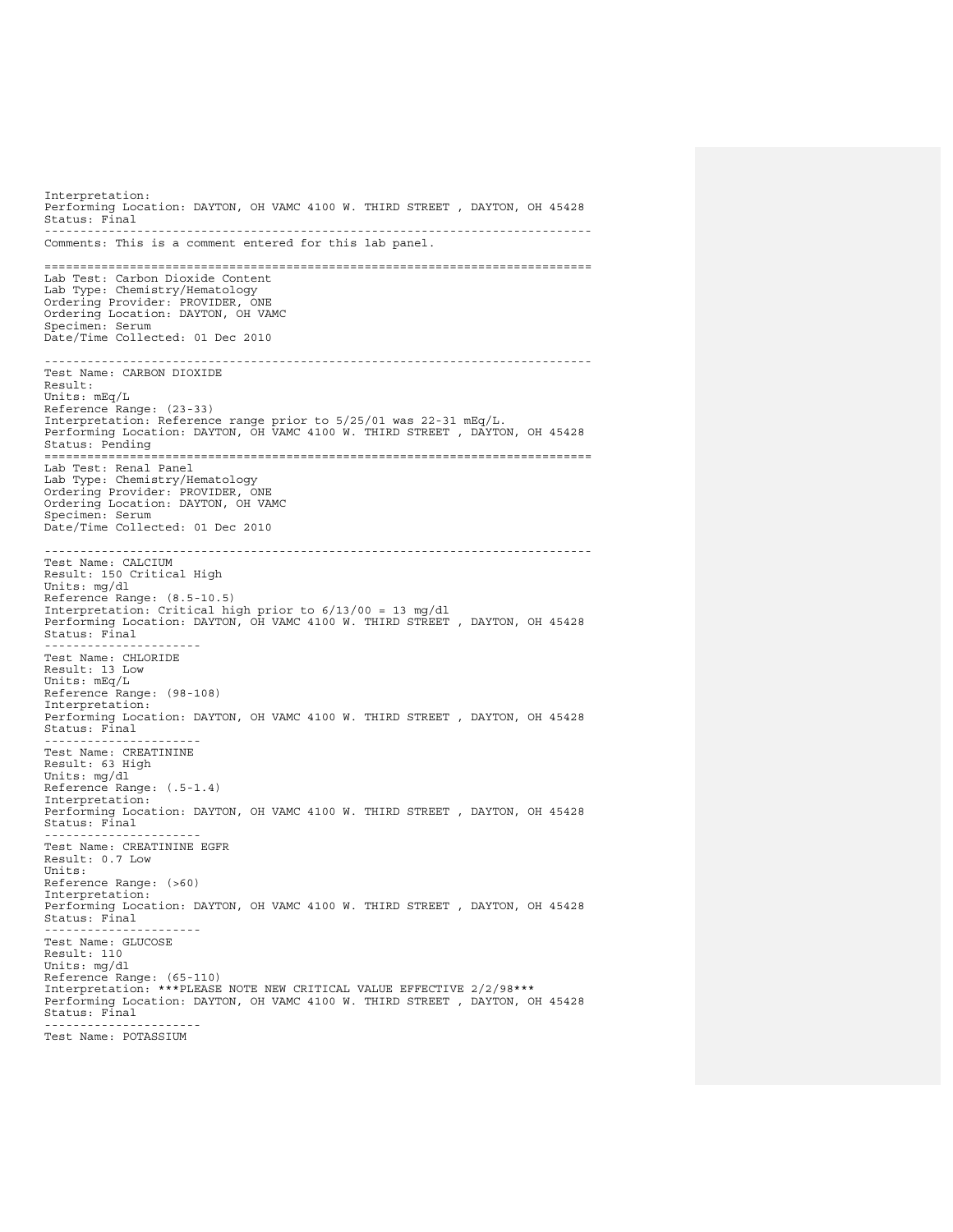Interpretation: Performing Location: DAYTON, OH VAMC 4100 W. THIRD STREET , DAYTON, OH 45428 Status: Final ----------------------------------------------------------------------------- Comments: This is a comment entered for this lab panel. ============================================================================= Lab Test: Carbon Dioxide Content Lab Type: Chemistry/Hematology Ordering Provider: PROVIDER, ONE Ordering Location: DAYTON, OH VAMC Specimen: Serum Date/Time Collected: 01 Dec 2010 ----------------------------------------------------------------------------- Test Name: CARBON DIOXIDE Result: Units: mEq/L Reference Range: (23-33) Interpretation: Reference range prior to 5/25/01 was 22-31 mEq/L. Performing Location: DAYTON, OH VAMC 4100 W. THIRD STREET , DAYTON, OH 45428 Status: Pending ============================================================================= Lab Test: Renal Panel Lab Type: Chemistry/Hematology Ordering Provider: PROVIDER, ONE Ordering Location: DAYTON, OH VAMC Specimen: Serum Date/Time Collected: 01 Dec 2010 ----------------------------------------------------------------------------- Test Name: CALCIUM Result: 150 Critical High Units: mg/dl Reference Range: (8.5-10.5) Interpretation: Critical high prior to 6/13/00 = 13 mg/dl Performing Location: DAYTON, OH VAMC 4100 W. THIRD STREET , DAYTON, OH 45428 Status: Final ---------------------- Test Name: CHLORIDE Result: 13 Low Units: mEq/L Reference Range: (98-108) Interpretation: Performing Location: DAYTON, OH VAMC 4100 W. THIRD STREET , DAYTON, OH 45428 Status: Final ---------------------- Test Name: CREATININE Result: 63 High Units: mg/dl Reference Range: (.5-1.4) Interpretation: Performing Location: DAYTON, OH VAMC 4100 W. THIRD STREET , DAYTON, OH 45428 Status: Final ---------------------- Test Name: CREATININE EGFR Result: 0.7 Low Units: Reference Range: (>60) Interpretation: Performing Location: DAYTON, OH VAMC 4100 W. THIRD STREET , DAYTON, OH 45428 Status: Final ---------------------- Test Name: GLUCOSE Result: 110 Units: mg/dl Reference Range: (65-110) Interpretation: \*\*\*PLEASE NOTE NEW CRITICAL VALUE EFFECTIVE 2/2/98\*\*\* Performing Location: DAYTON, OH VAMC 4100 W. THIRD STREET , DAYTON, OH 45428 Status: Final ---------------------- Test Name: POTASSIUM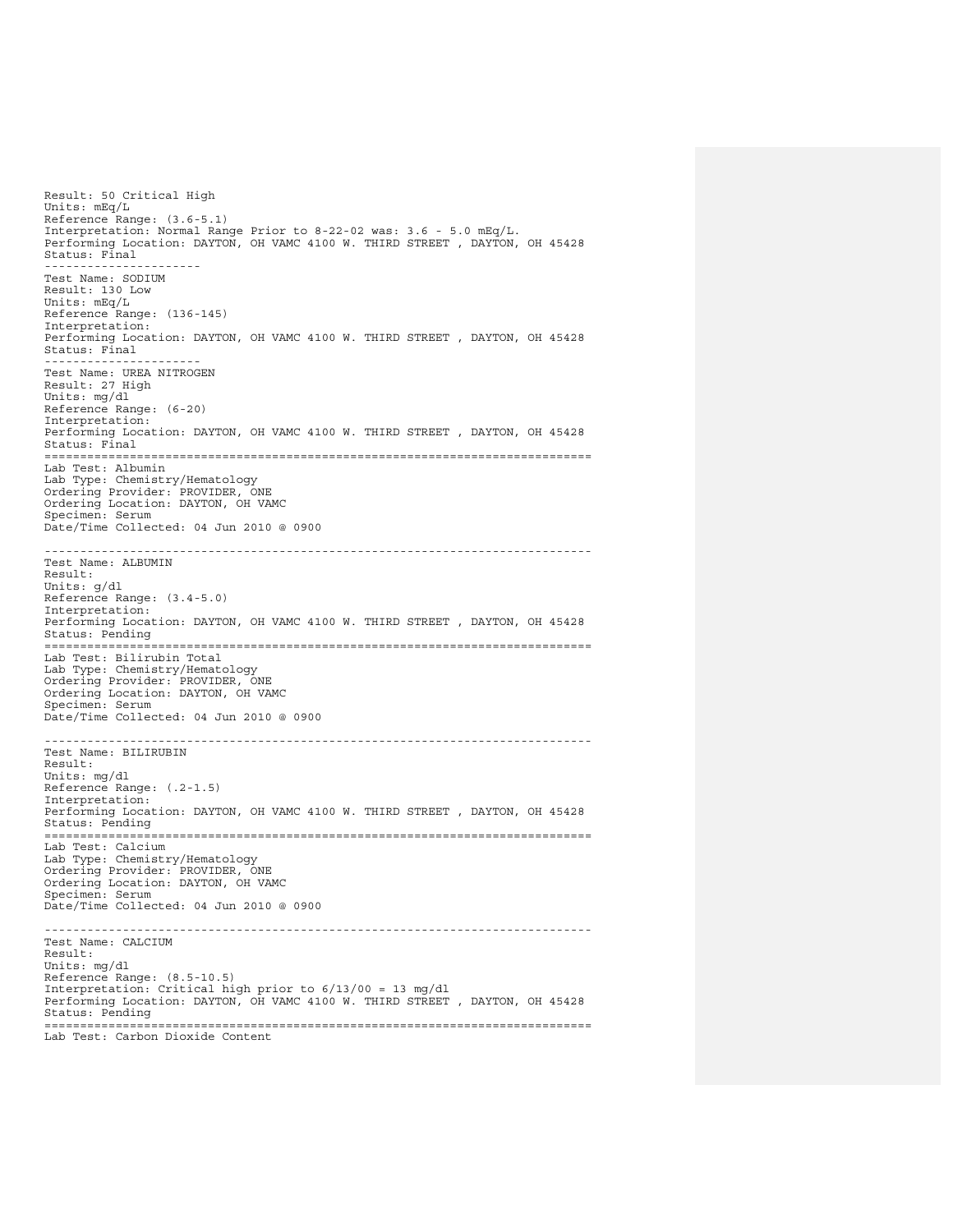Result: 50 Critical High Units: mEq/L Reference Range: (3.6-5.1) Interpretation: Normal Range Prior to 8-22-02 was: 3.6 - 5.0 mEq/L. Performing Location: DAYTON, OH VAMC 4100 W. THIRD STREET , DAYTON, OH 45428 Status: Final ---------------------- Test Name: SODIUM Result: 130 Low Units: mEq/L Reference Range: (136-145) Interpretation: Performing Location: DAYTON, OH VAMC 4100 W. THIRD STREET , DAYTON, OH 45428 Status: Final  $- - -$ Test Name: UREA NITROGEN Result: 27 High Units: mg/dl Reference Range: (6-20) Interpretation: Performing Location: DAYTON, OH VAMC 4100 W. THIRD STREET , DAYTON, OH 45428 Status: Final ============================================================================= Lab Test: Albumin Lab Type: Chemistry/Hematology Ordering Provider: PROVIDER, ONE Ordering Location: DAYTON, OH VAMC Specimen: Serum Date/Time Collected: 04 Jun 2010 @ 0900 ----------------------------------------------------------------------------- Test Name: ALBUMIN Result: Units: g/dl Reference Range: (3.4-5.0) Interpretation: Performing Location: DAYTON, OH VAMC 4100 W. THIRD STREET , DAYTON, OH 45428 Status: Pending ============================================================================= Lab Test: Bilirubin Total Lab Type: Chemistry/Hematology Ordering Provider: PROVIDER, ONE Ordering Location: DAYTON, OH VAMC Specimen: Serum Date/Time Collected: 04 Jun 2010 @ 0900 ----------------------------------------------------------------------------- Test Name: BILIRUBIN Result: Units: mg/dl Reference Range: (.2-1.5) Interpretation: Performing Location: DAYTON, OH VAMC 4100 W. THIRD STREET , DAYTON, OH 45428 Status: Pending ============================================================================= Lab Test: Calcium Lab Type: Chemistry/Hematology Ordering Provider: PROVIDER, ONE Ordering Location: DAYTON, OH VAMC Specimen: Serum Date/Time Collected: 04 Jun 2010 @ 0900 ----------------------------------------------------------------------------- Test Name: CALCIUM Result: Units: mg/dl Reference Range: (8.5-10.5) Interpretation: Critical high prior to 6/13/00 = 13 mg/dl Performing Location: DAYTON, OH VAMC 4100 W. THIRD STREET , DAYTON, OH 45428 Status: Pending ============================================================================= Lab Test: Carbon Dioxide Content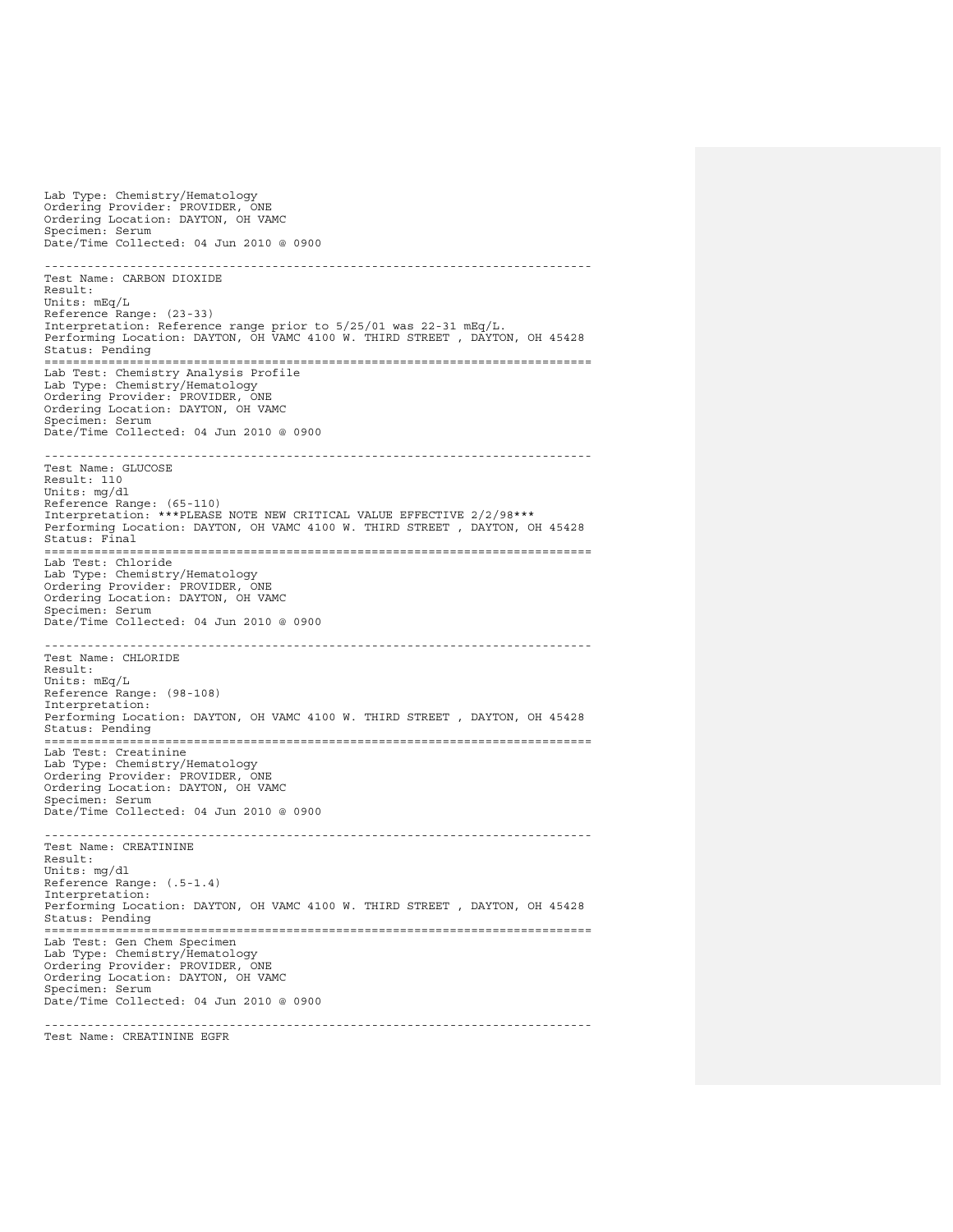Lab Type: Chemistry/Hematology Ordering Provider: PROVIDER, ONE Ordering Location: DAYTON, OH VAMC Specimen: Serum Date/Time Collected: 04 Jun 2010 @ 0900 ----------------------------------------------------------------------------- Test Name: CARBON DIOXIDE Result: Units: mEq/L Reference Range: (23-33) Interpretation: Reference range prior to 5/25/01 was 22-31 mEq/L. Performing Location: DAYTON, OH VAMC 4100 W. THIRD STREET , DAYTON, OH 45428 Status: Pending ============================================================================= Lab Test: Chemistry Analysis Profile Lab Type: Chemistry/Hematology Ordering Provider: PROVIDER, ONE Ordering Location: DAYTON, OH VAMC Specimen: Serum Date/Time Collected: 04 Jun 2010 @ 0900 ----------------------------------------------------------------------------- Test Name: GLUCOSE Result: 110 Units: mg/dl Reference Range: (65-110) Interpretation: \*\*\*PLEASE NOTE NEW CRITICAL VALUE EFFECTIVE 2/2/98\*\*\* Performing Location: DAYTON, OH VAMC 4100 W. THIRD STREET , DAYTON, OH 45428 Status: Final ============================================================================= Lab Test: Chloride Lab Type: Chemistry/Hematology Ordering Provider: PROVIDER, ONE Ordering Location: DAYTON, OH VAMC Specimen: Serum Date/Time Collected: 04 Jun 2010 @ 0900 ----------------------------------------------------------------------------- Test Name: CHLORIDE Result: Units: mEq/L Reference Range: (98-108) Interpretation: Performing Location: DAYTON, OH VAMC 4100 W. THIRD STREET , DAYTON, OH 45428 Status: Pending ============================================================================= Lab Test: Creatinine Lab Type: Chemistry/Hematology Ordering Provider: PROVIDER, ONE Ordering Location: DAYTON, OH VAMC Specimen: Serum Date/Time Collected: 04 Jun 2010 @ 0900 ----------------------------------------------------------------------------- Test Name: CREATININE Result: Units: mg/dl Reference Range: (.5-1.4) Interpretation: Performing Location: DAYTON, OH VAMC 4100 W. THIRD STREET , DAYTON, OH 45428 Status: Pending ============================================================================= Lab Test: Gen Chem Specimen Lab Type: Chemistry/Hematology Ordering Provider: PROVIDER, ONE Ordering Location: DAYTON, OH VAMC Specimen: Serum Date/Time Collected: 04 Jun 2010 @ 0900 -----------------------------------------------------------------------------

Test Name: CREATININE EGFR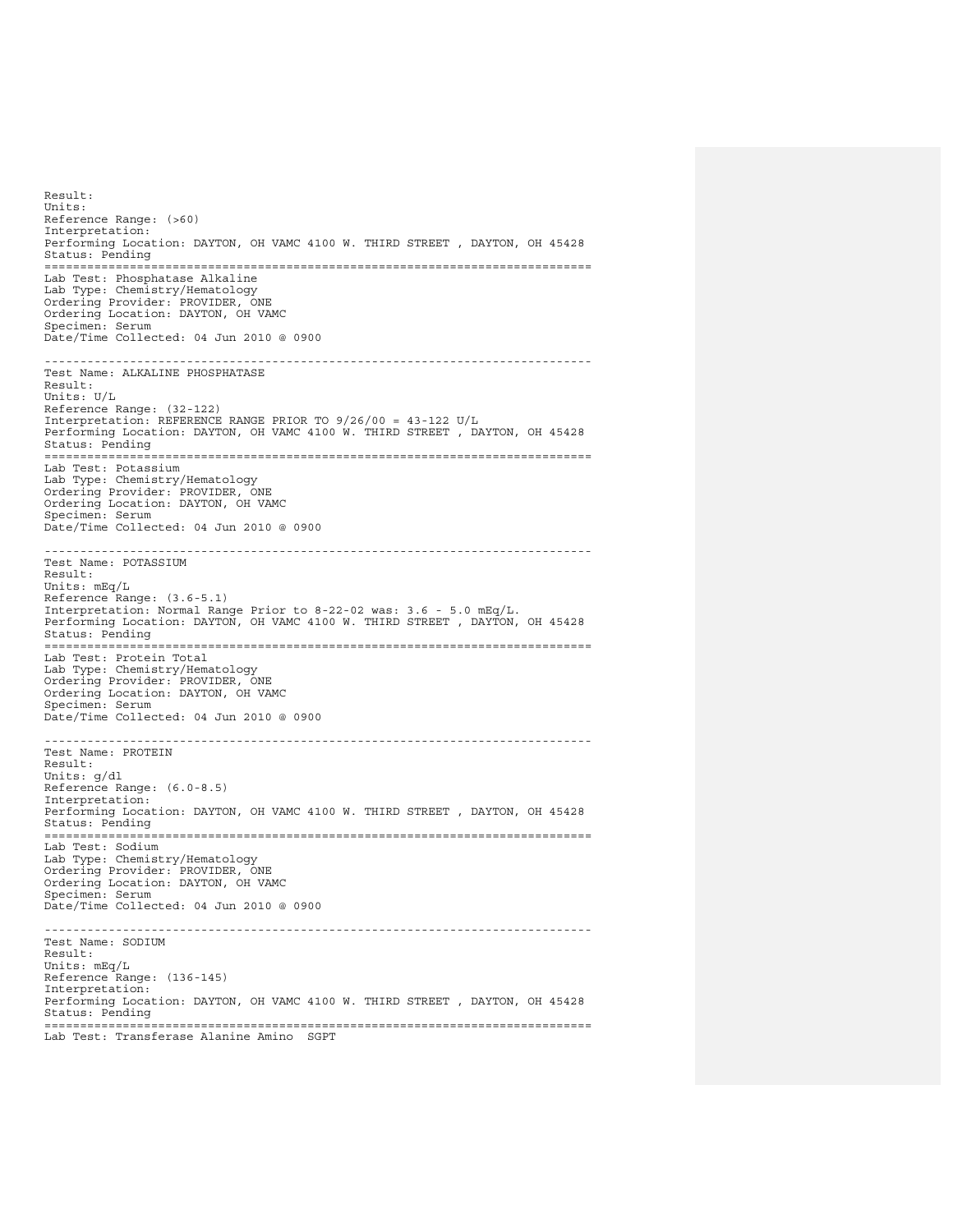Result: Units: Reference Range: (>60) Interpretation: Performing Location: DAYTON, OH VAMC 4100 W. THIRD STREET , DAYTON, OH 45428 status: Pending ============================================================================= Lab Test: Phosphatase Alkaline Lab Type: Chemistry/Hematology Ordering Provider: PROVIDER, ONE Ordering Location: DAYTON, OH VAMC Specimen: Serum Date/Time Collected: 04 Jun 2010 @ 0900 ----------------------------------------------------------------------------- Test Name: ALKALINE PHOSPHATASE Result: Units: U/L Reference Range: (32-122) Interpretation: REFERENCE RANGE PRIOR TO 9/26/00 = 43-122 U/L Performing Location: DAYTON, OH VAMC 4100 W. THIRD STREET , DAYTON, OH 45428 Status: Pending<br>================= ============================================================================= Lab Test: Potassium Lab Type: Chemistry/Hematology Ordering Provider: PROVIDER, ONE Ordering Location: DAYTON, OH VAMC Specimen: Serum Date/Time Collected: 04 Jun 2010 @ 0900 ----------------------------------------------------------------------------- Test Name: POTASSIUM Result: Units: mEq/L Reference Range: (3.6-5.1) Interpretation: Normal Range Prior to 8-22-02 was: 3.6 - 5.0 mEq/L. Performing Location: DAYTON, OH VAMC 4100 W. THIRD STREET , DAYTON, OH 45428 Status: Pending ============================================================================= Lab Test: Protein Total Lab Type: Chemistry/Hematology Ordering Provider: PROVIDER, ONE Ordering Location: DAYTON, OH VAMC Specimen: Serum Date/Time Collected: 04 Jun 2010 @ 0900 ----------------------------------------------------------------------------- Test Name: PROTEIN Result: Units: g/dl Reference Range: (6.0-8.5) Interpretation: Performing Location: DAYTON, OH VAMC 4100 W. THIRD STREET , DAYTON, OH 45428 Status: Pending ============================================================================= Lab Test: Sodium Lab Type: Chemistry/Hematology Ordering Provider: PROVIDER, ONE Ordering Location: DAYTON, OH VAMC Specimen: Serum Date/Time Collected: 04 Jun 2010 @ 0900 ----------------------------------------------------------------------------- Test Name: SODIUM Result: Units: mEq/L Reference Range: (136-145) Interpretation: Performing Location: DAYTON, OH VAMC 4100 W. THIRD STREET , DAYTON, OH 45428 Status: Pending ============================================================================= Lab Test: Transferase Alanine Amino SGPT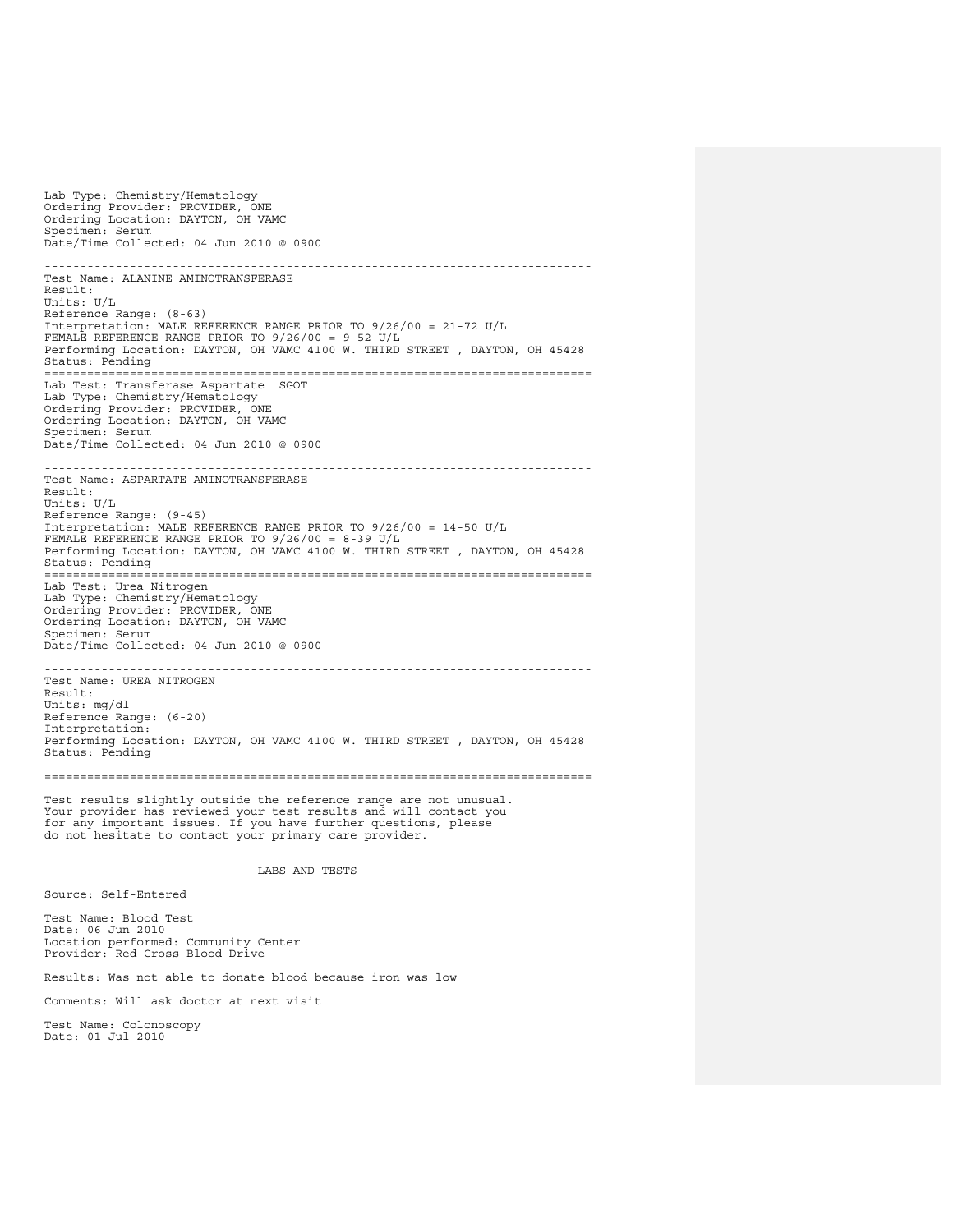Lab Type: Chemistry/Hematology Ordering Provider: PROVIDER, ONE Ordering Location: DAYTON, OH VAMC Specimen: Serum Date/Time Collected: 04 Jun 2010 @ 0900 ----------------------------------------------------------------------------- Test Name: ALANINE AMINOTRANSFERASE Result: Units: U/L Reference Range: (8-63) Interpretation: MALE REFERENCE RANGE PRIOR TO 9/26/00 = 21-72 U/L FEMALE REFERENCE RANGE PRIOR TO 9/26/00 = 9-52 U/L Performing Location: DAYTON, OH VAMC 4100 W. THIRD STREET , DAYTON, OH 45428 Status: Pending ============================================================================= Lab Test: Transferase Aspartate SGOT Lab Type: Chemistry/Hematology Ordering Provider: PROVIDER, ONE Ordering Location: DAYTON, OH VAMC Specimen: Serum Date/Time Collected: 04 Jun 2010 @ 0900 ----------------------------------------------------------------------------- Test Name: ASPARTATE AMINOTRANSFERASE Result: Units: U/L Reference Range: (9-45) Interpretation: MALE REFERENCE RANGE PRIOR TO 9/26/00 = 14-50 U/L FEMALE REFERENCE RANGE PRIOR TO 9/26/00 = 8-39 U/L Performing Location: DAYTON, OH VAMC 4100 W. THIRD STREET , DAYTON, OH 45428 Status: Pending<br>================ ============================================================================= Lab Test: Urea Nitrogen Lab Type: Chemistry/Hematology Ordering Provider: PROVIDER, ONE Ordering Location: DAYTON, OH VAMC Specimen: Serum Date/Time Collected: 04 Jun 2010 @ 0900 ----------------------------------------------------------------------------- Test Name: UREA NITROGEN Result: Units: mg/dl Reference Range: (6-20) Interpretation: Performing Location: DAYTON, OH VAMC 4100 W. THIRD STREET , DAYTON, OH 45428 Status: Pending ============================================================================= Test results slightly outside the reference range are not unusual. Your provider has reviewed your test results and will contact you for any important issues. If you have further questions, please do not hesitate to contact your primary care provider. ----------------------------- LABS AND TESTS -------------------------------- Source: Self-Entered Test Name: Blood Test Date: 06 Jun 2010 Location performed: Community Center Provider: Red Cross Blood Drive Results: Was not able to donate blood because iron was low Comments: Will ask doctor at next visit Test Name: Colonoscopy Date: 01 Jul 2010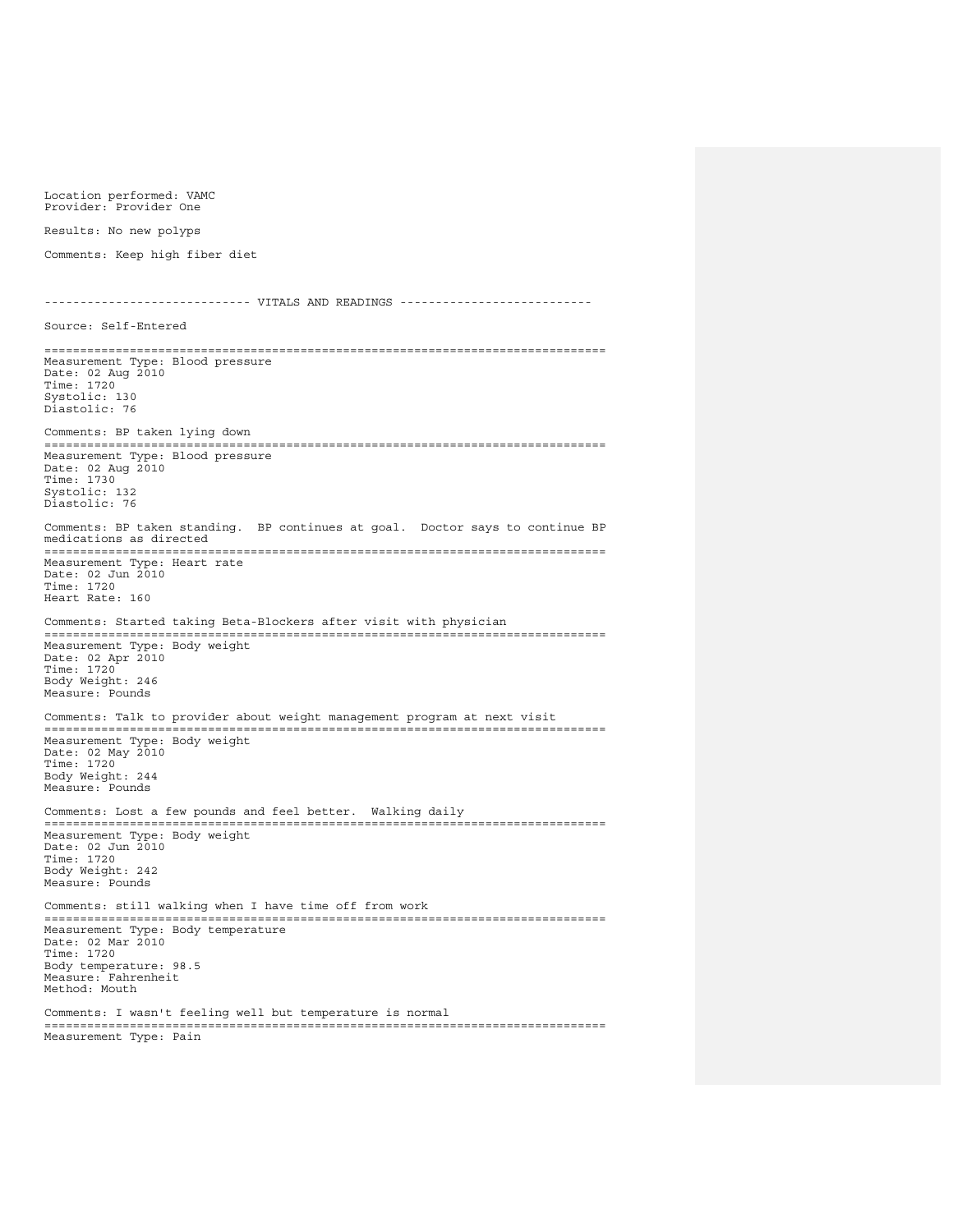Results: No new polyps Comments: Keep high fiber diet ----------------------------- VITALS AND READINGS --------------------------- Source: Self-Entered =============================================================================== Measurement Type: Blood pressure Date: 02 Aug 2010 Time: 1720 Systolic: 130 Diastolic: 76 Comments: BP taken lying down =============================================================================== Measurement Type: Blood pressure Date: 02 Aug 2010 Time: 1730 Systolic: 132 Diastolic: 76 Comments: BP taken standing. BP continues at goal. Doctor says to continue BP medications as directed =============================================================================== Measurement Type: Heart rate Date: 02 Jun 2010 Time: 1720 Heart Rate: 160 Comments: Started taking Beta-Blockers after visit with physician =============================================================================== Measurement Type: Body weight Date: 02 Apr 2010 Time: 1720 Body Weight: 246 Measure: Pounds Comments: Talk to provider about weight management program at next visit =============================================================================== Measurement Type: Body weight Date: 02 May 2010 Time: 1720 Body Weight: 244 Measure: Pounds Comments: Lost a few pounds and feel better. Walking daily =============================================================================== Measurement Type: Body weight Date: 02 Jun 2010 Time: 1720 Body Weight: 242 Measure: Pounds Comments: still walking when I have time off from work =============================================================================== Measurement Type: Body temperature Date: 02 Mar 2010 Time: 1720 Body temperature: 98.5 Measure: Fahrenheit Method: Mouth Comments: I wasn't feeling well but temperature is normal =============================================================================== Measurement Type: Pain

Location performed: VAMC Provider: Provider One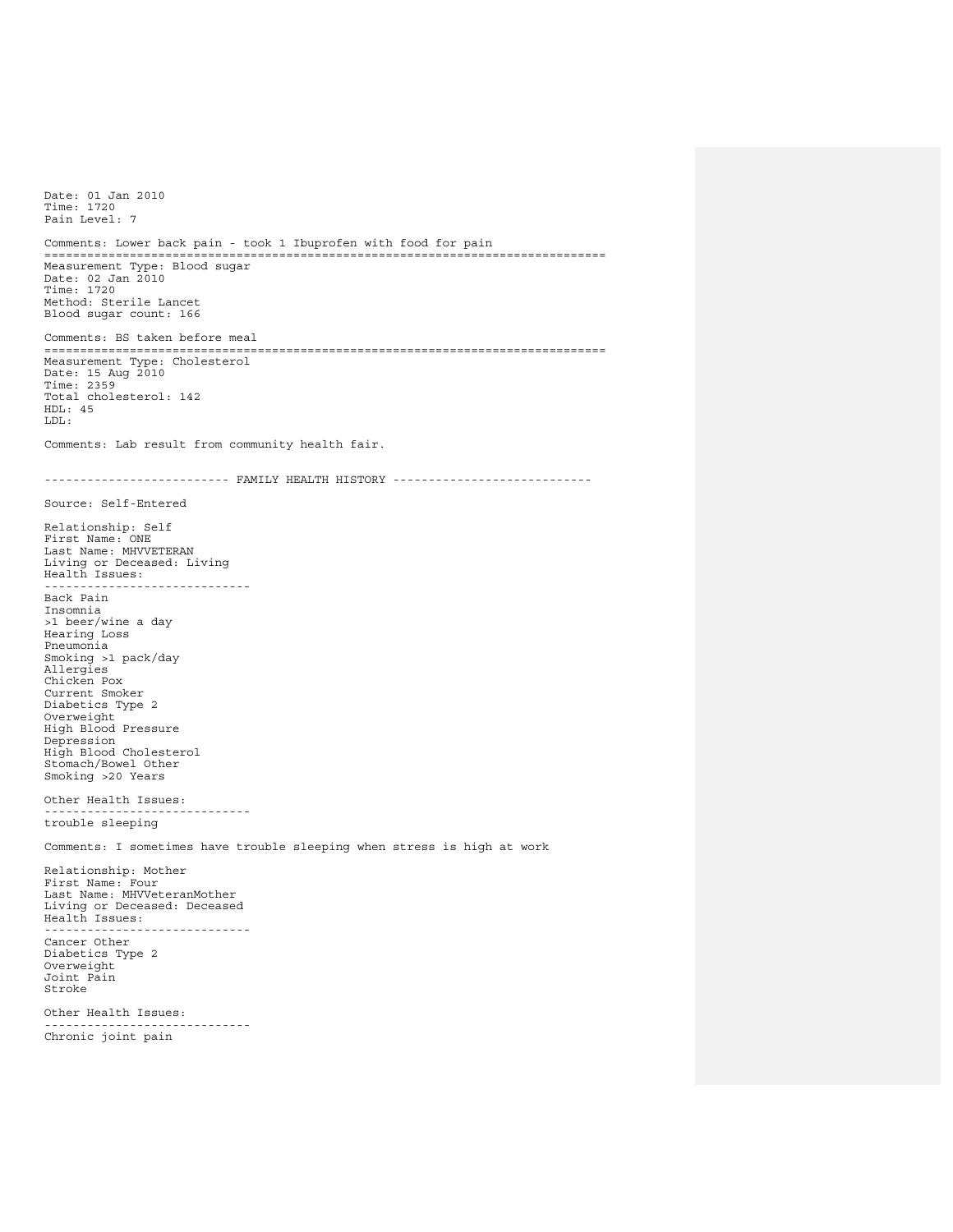Date: 01 Jan 2010 Time: 1720 Pain Level: 7 Comments: Lower back pain - took 1 Ibuprofen with food for pain =============================================================================== Measurement Type: Blood sugar Date: 02 Jan 2010 Time: 1720 Method: Sterile Lancet Blood sugar count: 166 Comments: BS taken before meal =============================================================================== Measurement Type: Cholesterol Date: 15 Aug 2010 Time: 2359 Total cholesterol: 142  $HDI \cdot 45$ LDL: Comments: Lab result from community health fair. ------------------------- FAMILY HEALTH HISTORY -----------------------------Source: Self-Entered Relationship: Self First Name: ONE Last Name: MHVVETERAN Living or Deceased: Living Health Issues: ----------------------------- Back Pain Insomnia >1 beer/wine a day Hearing Loss Pneumonia Smoking >1 pack/day Allergies Chicken Pox Current Smoker Diabetics Type 2 Overweight High Blood Pressure Depression High Blood Cholesterol Stomach/Bowel Other Smoking >20 Years Other Health Issues: ---------------------------- trouble sleeping Comments: I sometimes have trouble sleeping when stress is high at work Relationship: Mother First Name: Four Last Name: MHVVeteranMother Living or Deceased: Deceased Health Issues: ----------------------------- Cancer Other Diabetics Type 2 Overweight Joint Pain Stroke Other Health Issues: ----------------------------- Chronic joint pain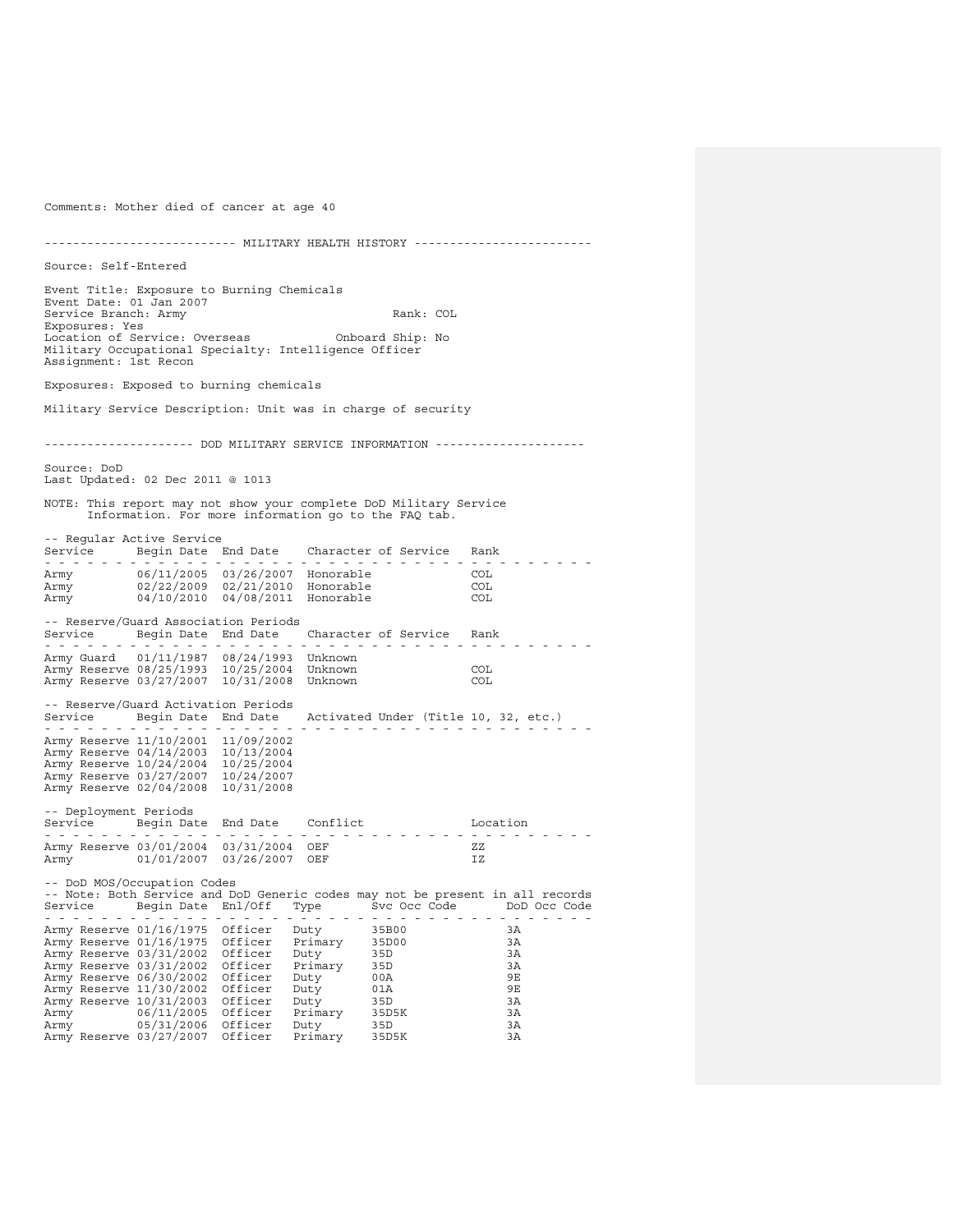Comments: Mother died of cancer at age 40 --------------------------- MILITARY HEALTH HISTORY ------------------------- Source: Self-Entered Event Title: Exposure to Burning Chemicals Event Date: 01 Jan 2007 Service Branch: Army Rank: COL Exposures: Yes Location of Service: Overseas Onboard Ship: No Military Occupational Specialty: Intelligence Officer Assignment: 1st Recon Exposures: Exposed to burning chemicals Military Service Description: Unit was in charge of security --------------------- DOD MILITARY SERVICE INFORMATION --------------------- Source: DoD Last Updated: 02 Dec 2011 @ 1013 NOTE: This report may not show your complete DoD Military Service Information. For more information go to the FAQ tab. -- Regular Active Service Service Begin Date End Date Character of Service Rank - - - - - - - - - - - - - - - - - - - - - - - - - - - - - - - - - - - - - - - Army 06/11/2005 03/26/2007 Honorable COL Army 02/22/2009 02/21/2010 Honorable COL Army 04/10/2010 04/08/2011 Honorable COL -- Reserve/Guard Association Periods Service Begin Date End Date Character of Service Rank - - - - - - - - - - - - - - - - - - - - - - - - - - - - - - - - - - - - - - - Army Guard 01/11/1987 08/24/1993 Unknown Army Reserve 08/25/1993 10/25/2004 Unknown COL Army Reserve 03/27/2007 10/31/2008 Unknown COL -- Reserve/Guard Activation Periods Service Begin Date End Date Activated Under (Title 10, 32, etc.) - - - - - - - - - - - - - - - - - - - - - - - - - - - - - - - - - - - - - - - Army Reserve 11/10/2001 11/09/2002 Army Reserve 04/14/2003 10/13/2004 Army Reserve 10/24/2004 10/25/2004 Army Reserve 03/27/2007 10/24/2007 Army Reserve 02/04/2008 10/31/2008 -- Deployment Periods Service Begin Date End Date Conflict Location - - - - - - - - - - - - - - - - - - - - - - - - - - - - - - - - - - - - - - - Army Reserve 03/01/2004 03/31/2004 OEF ZZ Army 01/01/2007 03/26/2007 OEF IZ -- DoD MOS/Occupation Codes -- Note: Both Service and DoD Generic codes may not be present in all records Service Begin Date Enl/Off Type Svc Occ Code DoD Occ Code - - - - - - - - - - - - - - - - - - - - - - - - - - - - - - - - - - - - - - - Army Reserve 01/16/1975 Officer Duty 35B00 3A Army Reserve 01/16/1975 Officer Primary 35D00 3A Army Reserve 03/31/2002 Officer Duty 35D 3A<br>Army Reserve 03/31/2002 Officer Primary 35D 3A Army Reserve 03/31/2002 Officer Primary 35D 3A<br>Army Reserve 03/31/2002 Officer Duty 00A 9E<br>Army Reserve 11/30/2002 Officer Duty 01A 9E Army Reserve 06/30/2002 Officer Duty 00A 9E<br>Army Reserve 11/30/2002 Officer Duty 01A 9E Army Reserve 11/30/2002 Officer Duty 01A 9E<br>Army Reserve 10/31/2003 Officer Duty 35D 3A Army Reserve 10/31/2003 Officer Duty 35D 3A<br>Army 06/11/2005 Officer Primary 35D5K 3A Army 06/11/2005 Officer Primary 35D5K 3A Army 05/31/2006 Officer Duty 35D 3A Army Reserve 03/27/2007 Officer Primary 35D5K 3A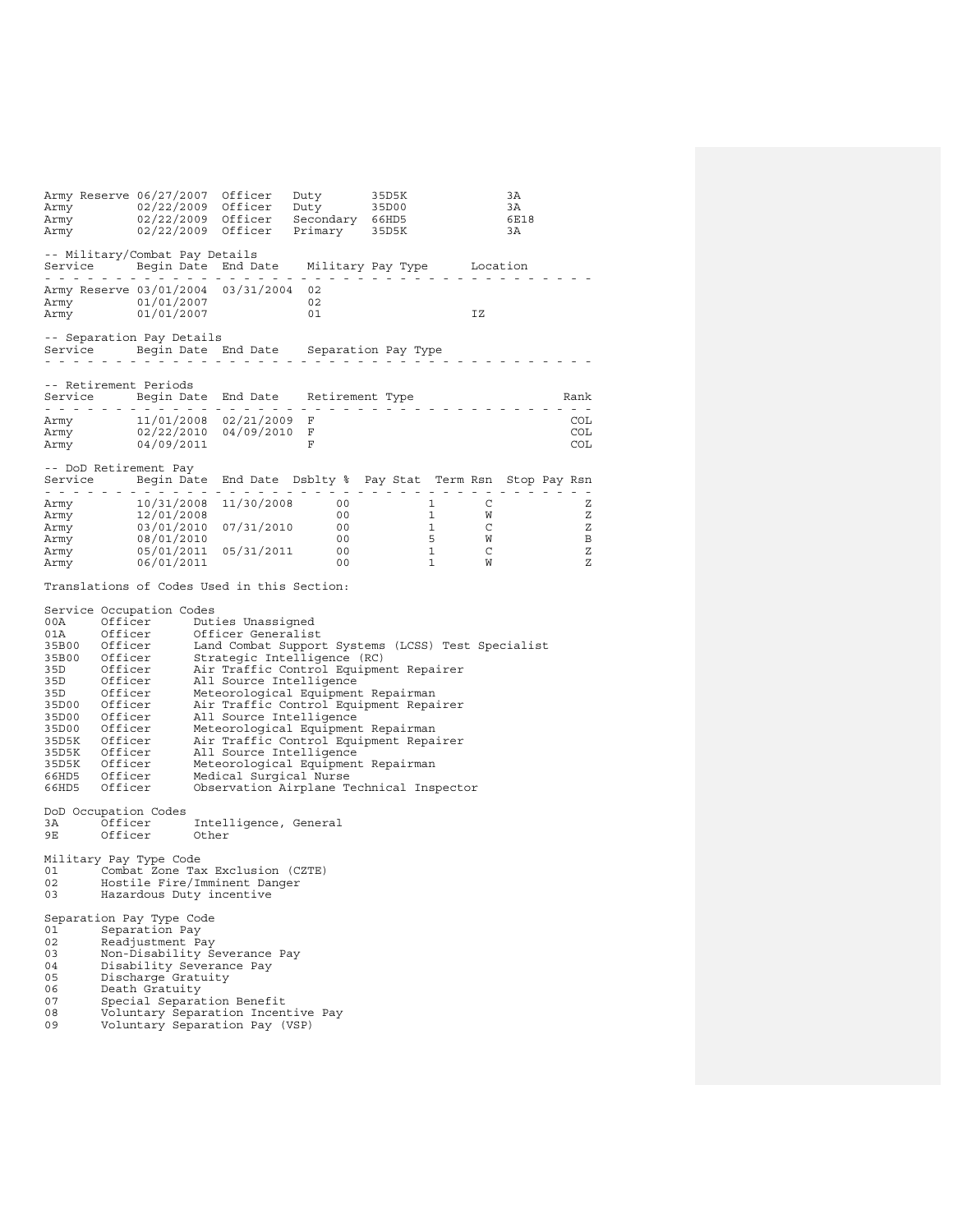Army Reserve 06/27/2007 Officer Duty 35D5K 3A<br>Army 02/22/2009 Officer Duty 35D50<br>Army 02/22/2009 Officer Secondary 66HD5 6E18<br>Army 02/22/2009 Officer Primary 35D5K 3A -- Military/Combat Pay Details Service Begin Date End Date Military Pay Type Location - - - - - - - - - - - - - - - - - - - - - - - - - - - - - - - - - - - - - - - Army Reserve 03/01/2004 03/31/2004 02 Army 01/01/2007 02<br>Army 01/01/2007 02<br>Army 01/01/2007 01 Army 01/01/2007 01 IZ -- Separation Pay Details Service Begin Date End Date Separation Pay Type - - - - - - - - - - - - - - - - - - - - - - - - - - - - - - - - - - - - - - - -- Retirement Periods Service Begin Date End Date Retirement Type Rank - - - - - - - - - - - - - - - - - - - - - - - - - - - - - - - - - - - - - - - Army 11/01/2008 02/21/2009 F COL<br>Army 02/22/2010 04/09/2010 F COL Army 02/22/2010 04/09/2010 F COL<br>Army 04/09/2011 F COL  $\text{Army}$  04/09/2011 -- DoD Retirement Pay Service Begin Date End Date Dsblty % Pay Stat Term Rsn Stop Pay Rsn - - - - - - - - - - - - - - - - - - - - - - - - - - - - - - - - - - - - - - - Army 10/31/2008 11/30/2008 00 1 C Z Army 12/01/2008 00 1 W Z Army 10/31/2008 11/30/2008 00 1 C<br>
Army 12/01/2008 11/30/2008 00 1 W Z<br>
Army 03/01/2010 07/31/2010 00 1 C Z<br>
Army 08/01/2010 00 5 W B<br>
or (03/01/2010 00 5 W B Army 08/01/2010 00 5 W B Army 05/01/2011 05/31/2011 00 1 C Z<br>Army 06/01/2011 00 1 W Z  $06/01/2011$ Translations of Codes Used in this Section: Service Occupation Codes<br>00A 0fficer Dut 00A Officer Duties Unassigned<br>01A Officer Officer Generalist 01A Officer Officer Generalist<br>35B00 Officer Land Combat Suppor 35B00 Officer Land Combat Support Systems (LCSS) Test Specialist 35B00 Officer Strategic Intelligence (RC) 35D Officer Air Traffic Control Equipment Repairer 35D Officer All Source Intelligence<br>35D Officer Meteorological Equipment 35D Officer Meteorological Equipment Repairman<br>35D00 Officer Air Traffic Control Equipment Repai 35D00 Officer Air Traffic Control Equipment Repairer All Source Intelligence 35D00 Officer Meteorological Equipment Repairman 35D5K Officer Air Traffic Control Equipment Repairer<br>35D5K Officer All Source Intelligence 35D5K Officer All Source Intelligence<br>35D5K Officer All Source Intelligence<br>35D5K Officer Meteorological Equipment 35D5K Officer Meteorological Equipment Repairman 66HD5 Officer Medical Surgical Nurse Observation Airplane Technical Inspector DoD Occupation Codes 3A Officer Intelligence, General<br>9E Officer Other Officer Other Military Pay Type Code 01 Combat Zone Tax Exclusion (CZTE)<br>02 Bostile Fire/Imminent Danger 02 Hostile Fire/Imminent Danger<br>03 Hazardous Duty incentive Hazardous Duty incentive Separation Pay Type Code<br>01 Separation Pay 01 Separation Pay<br>02 Readjustment P 02 Readjustment Pay 03 Non-Disability Severance Pay<br>04 Disability Severance Pay 04 Disability Severance Pay<br>05 Discharge Gratuity 05 Discharge Gratuity<br>06 Death Gratuity 06 Death Gratuity<br>07 Special Separat 07 Special Separation Benefit<br>08 Woluntary Separation Incent 08 Voluntary Separation Incentive Pay<br>09 Voluntary Separation Pay (VSP) Voluntary Separation Pay (VSP)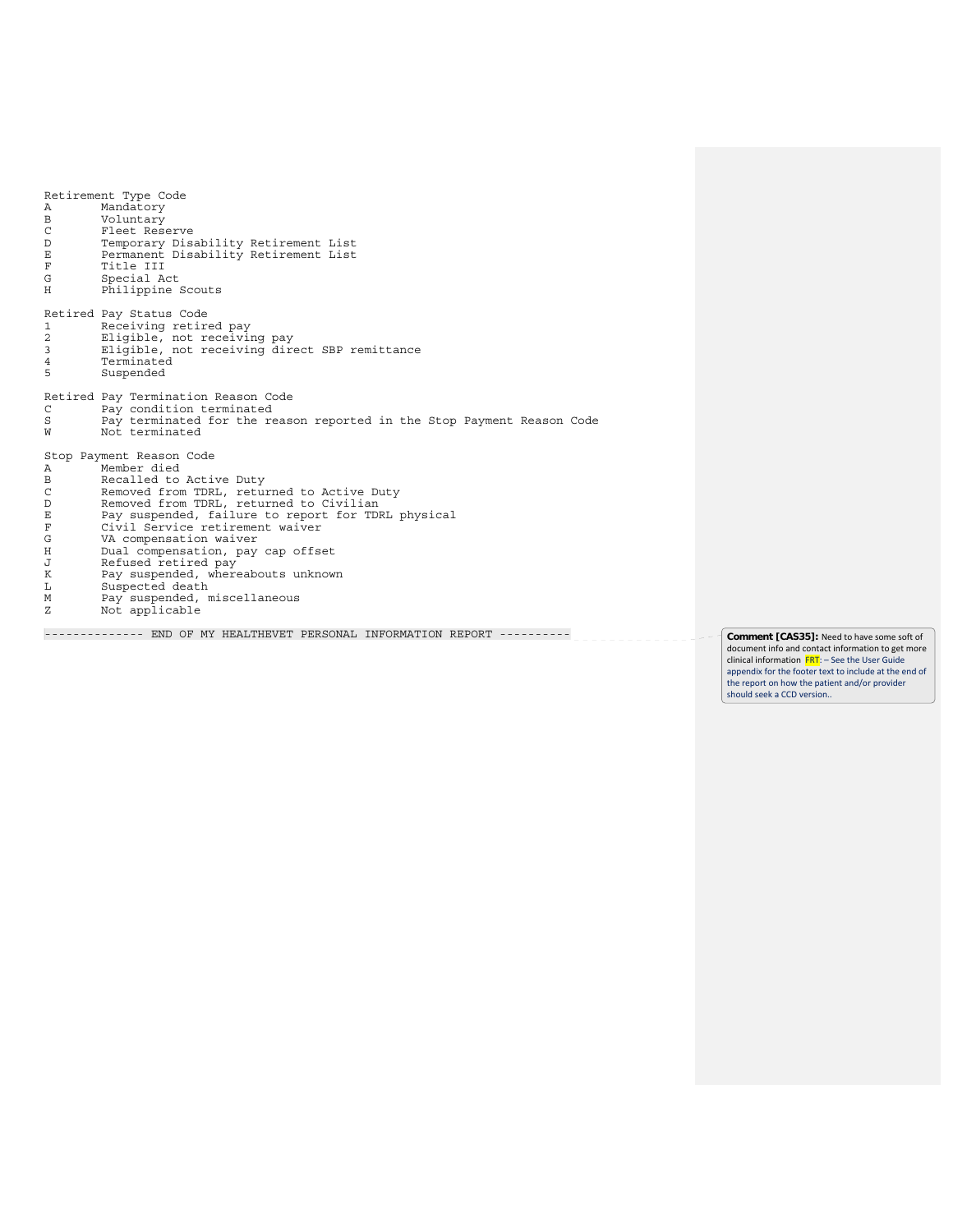Retirement Type Code A Mandatory<br>B Voluntary B Voluntary<br>C Fleet Res C Fleet Reserve<br>D Temporary Disa D Temporary Disability Retirement List E Permanent Disability Retirement List F Title III<br>G Special A G Special Act<br>H Philippine Philippine Scouts Retired Pay Status Code 1 Receiving retired pay 2 Eligible, not receiving pay 3 Eligible, not receiving direct SBP remittance 4 Terminated<br>5 Suspended 5 Suspended Retired Pay Termination Reason Code C Pay condition terminated S Pay terminated for the reason reported in the Stop Payment Reason Code W Not terminated Stop Payment Reason Code A Member died<br>B Recalled to B Recalled to Active Duty<br>C Removed from TDRL, retur C Removed from TDRL, returned to Active Duty<br>D Removed from TDRL, returned to Civilian D Removed from TDRL, returned to Civilian E Pay suspended, failure to report for TDRL physical F Civil Service retirement waiver G VA compensation waiver H Dual compensation, pay cap offset<br>
J Refused retired pay<br>
K Pay suspended, whereabouts unknow. J Refused retired pay K Pay suspended, whereabouts unknown L Suspected death M Pay suspended, miscellaneous Z Not applicable

--------------- END OF MY HEALTHEVET PERSONAL INFORMATION REPORT ---------<sup>1</sup>\_\_\_\_\_\_\_\_\_\_\_\_\_\_\_<sup>\_\_\_</sup> Comment [CAS35]: Need to have some soft of

document info and contact information to get more clinical information **FRT**: - See the User Guide appendix for the footer text to include at the end of the report on how the patient and/or provider should seek a CCD version..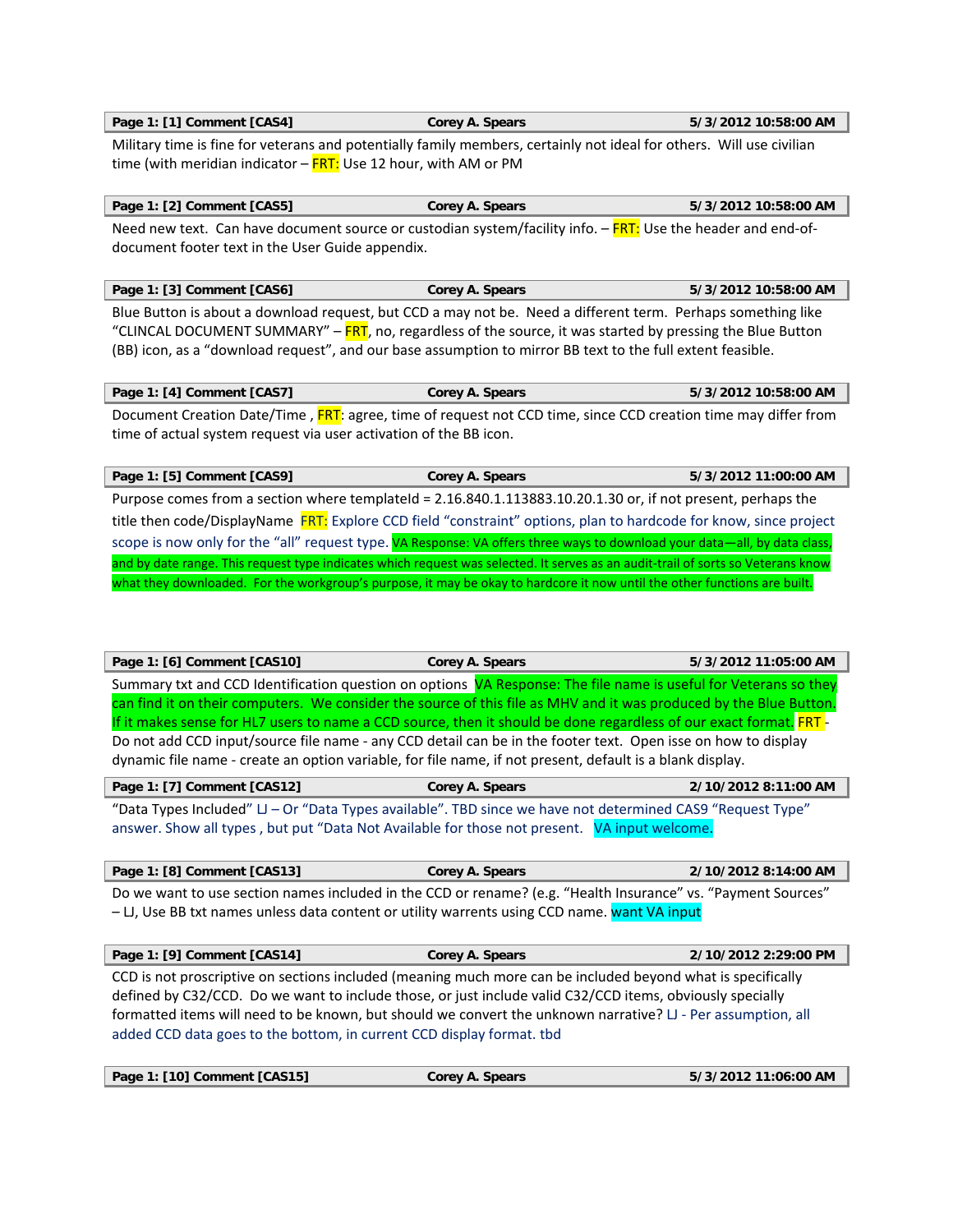**Page 1: [1] Comment [CAS4] Corey A. Spears 5/3/2012 10:58:00 AM** 

Military time is fine for veterans and potentially family members, certainly not ideal for others. Will use civilian time (with meridian indicator  $-\sqrt{RT}$ : Use 12 hour, with AM or PM

| Page 1: [2] Comment [CAS5]                                                                                   | Corey A. Spears | 5/3/2012 10:58:00 AM |
|--------------------------------------------------------------------------------------------------------------|-----------------|----------------------|
| Need new text. Can have document source or custodian system/facility info. - FRT: Use the header and end-of- |                 |                      |
| document footer text in the User Guide appendix.                                                             |                 |                      |

| Page 1: [3] Comment [CAS6]                                                                                   | Corey A. Spears | 5/3/2012 10:58:00 AM |
|--------------------------------------------------------------------------------------------------------------|-----------------|----------------------|
| Blue Button is about a download request, but CCD a may not be. Need a different term. Perhaps something like |                 |                      |

"CLINCAL DOCUMENT SUMMARY" – FRT, no, regardless of the source, it was started by pressing the Blue Button (BB) icon, as a "download request", and our base assumption to mirror BB text to the full extent feasible.

**Page 1: [4] Comment [CAS7] Corey A. Spears 5/3/2012 10:58:00 AM**  Document Creation Date/Time, FRT: agree, time of request not CCD time, since CCD creation time may differ from time of actual system request via user activation of the BB icon.

**Page 1: [5] Comment [CAS9] Corey A. Spears 5/3/2012 11:00:00 AM**  Purpose comes from a section where templateId = 2.16.840.1.113883.10.20.1.30 or, if not present, perhaps the title then code/DisplayName FRT: Explore CCD field "constraint" options, plan to hardcode for know, since project scope is now only for the "all" request type. VA Response: VA offers three ways to download your data—all, by data class, and by date range. This request type indicates which request was selected. It serves as an audit-trail of sorts so Veterans know what they downloaded. For the workgroup's purpose, it may be okay to hardcore it now until the other functions are built.

| Page 1: [6] Comment [CAS10] | <b>Corey A. Spears</b> | 5/3/2012 11:05:00 AM |
|-----------------------------|------------------------|----------------------|
|                             |                        |                      |

Summary txt and CCD Identification question on options VA Response: The file name is useful for Veterans so they can find it on their computers. We consider the source of this file as MHV and it was produced by the Blue Button. If it makes sense for HL7 users to name a CCD source, then it should be done regardless of our exact format. FRT-Do not add CCD input/source file name ‐ any CCD detail can be in the footer text. Open isse on how to display dynamic file name ‐ create an option variable, for file name, if not present, default is a blank display.

| Page 1: [7] Comment [CAS12]                                                                             | Corey A. Spears | 2/10/2012 8:11:00 AM |
|---------------------------------------------------------------------------------------------------------|-----------------|----------------------|
| "Data Types Included" II Or "Data Types available" TPD since we have not determined CASO "Pequest Type" |                 |                      |

"Data Types Included" LJ – Or "Data Types available". TBD since we have not determined CAS9 "Request Type answer. Show all types, but put "Data Not Available for those not present. VA input welcome.

**Page 1: [8] Comment [CAS13] Corey A. Spears 2/10/2012 8:14:00 AM**  Do we want to use section names included in the CCD or rename? (e.g. "Health Insurance" vs. "Payment Sources" – LJ, Use BB txt names unless data content or utility warrents using CCD name. want VA input

**Page 1: [9] Comment [CAS14] Corey A. Spears 2/10/2012 2:29:00 PM** 

CCD is not proscriptive on sections included (meaning much more can be included beyond what is specifically defined by C32/CCD. Do we want to include those, or just include valid C32/CCD items, obviously specially formatted items will need to be known, but should we convert the unknown narrative? LJ - Per assumption, all added CCD data goes to the bottom, in current CCD display format. tbd

| Page 1: [10] Comment [CAS15] | Corey A. Spears | 5/3/2012 11:06:00 AM |
|------------------------------|-----------------|----------------------|
|                              |                 |                      |